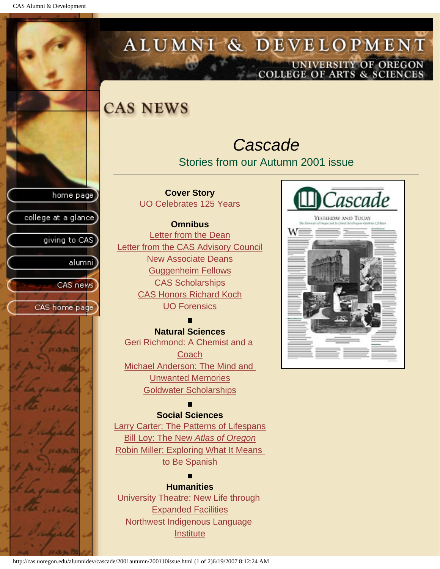CAS Alumni & Development

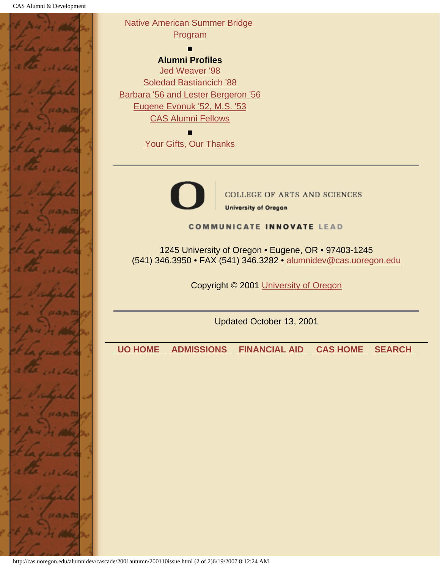

http://cas.uoregon.edu/alumnidev/cascade/2001autumn/200110issue.html (2 of 2)6/19/2007 8:12:24 AM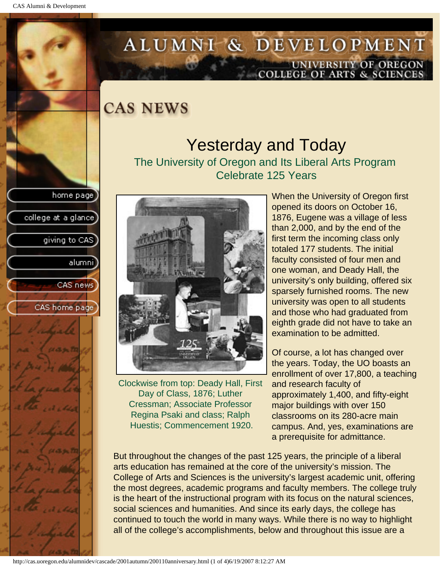college at a glance

giving to CAS

alumnil

CAS news

CAS home page

# <span id="page-2-0"></span>ALUMNI & DEVELOPMENT UNIVERSITY OF OREGON<br>COLLEGE OF ARTS & SCIENCES

**CAS NEWS** 

### Yesterday and Today The University of Oregon and Its Liberal Arts Program Celebrate 125 Years



Clockwise from top: Deady Hall, First Day of Class, 1876; Luther Cressman; Associate Professor Regina Psaki and class; Ralph Huestis; Commencement 1920.

When the University of Oregon first opened its doors on October 16, 1876, Eugene was a village of less than 2,000, and by the end of the first term the incoming class only totaled 177 students. The initial faculty consisted of four men and one woman, and Deady Hall, the university's only building, offered six sparsely furnished rooms. The new university was open to all students and those who had graduated from eighth grade did not have to take an examination to be admitted.

Of course, a lot has changed over the years. Today, the UO boasts an enrollment of over 17,800, a teaching and research faculty of approximately 1,400, and fifty-eight major buildings with over 150 classrooms on its 280-acre main campus. And, yes, examinations are a prerequisite for admittance.

But throughout the changes of the past 125 years, the principle of a liberal arts education has remained at the core of the university's mission. The College of Arts and Sciences is the university's largest academic unit, offering the most degrees, academic programs and faculty members. The college truly is the heart of the instructional program with its focus on the natural sciences, social sciences and humanities. And since its early days, the college has continued to touch the world in many ways. While there is no way to highlight all of the college's accomplishments, below and throughout this issue are a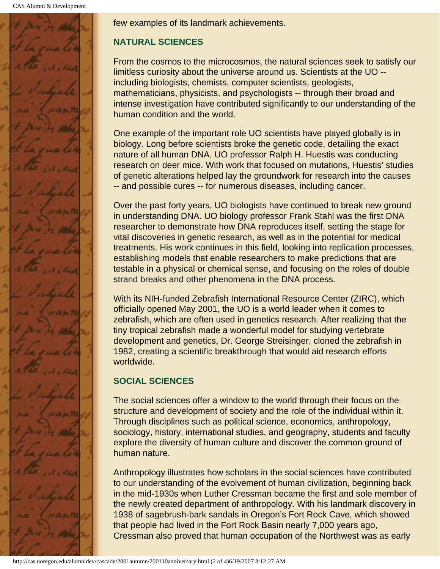

few examples of its landmark achievements.

#### **NATURAL SCIENCES**

From the cosmos to the microcosmos, the natural sciences seek to satisfy our limitless curiosity about the universe around us. Scientists at the UO - including biologists, chemists, computer scientists, geologists, mathematicians, physicists, and psychologists -- through their broad and intense investigation have contributed significantly to our understanding of the human condition and the world.

One example of the important role UO scientists have played globally is in biology. Long before scientists broke the genetic code, detailing the exact nature of all human DNA, UO professor Ralph H. Huestis was conducting research on deer mice. With work that focused on mutations, Huestis' studies of genetic alterations helped lay the groundwork for research into the causes -- and possible cures -- for numerous diseases, including cancer.

Over the past forty years, UO biologists have continued to break new ground in understanding DNA. UO biology professor Frank Stahl was the first DNA researcher to demonstrate how DNA reproduces itself, setting the stage for vital discoveries in genetic research, as well as in the potential for medical treatments. His work continues in this field, looking into replication processes, establishing models that enable researchers to make predictions that are testable in a physical or chemical sense, and focusing on the roles of double strand breaks and other phenomena in the DNA process.

With its NIH-funded Zebrafish International Resource Center (ZIRC), which officially opened May 2001, the UO is a world leader when it comes to zebrafish, which are often used in genetics research. After realizing that the tiny tropical zebrafish made a wonderful model for studying vertebrate development and genetics, Dr. George Streisinger, cloned the zebrafish in 1982, creating a scientific breakthrough that would aid research efforts worldwide.

#### **SOCIAL SCIENCES**

The social sciences offer a window to the world through their focus on the structure and development of society and the role of the individual within it. Through disciplines such as political science, economics, anthropology, sociology, history, international studies, and geography, students and faculty explore the diversity of human culture and discover the common ground of human nature.

Anthropology illustrates how scholars in the social sciences have contributed to our understanding of the evolvement of human civilization, beginning back in the mid-1930s when Luther Cressman became the first and sole member of the newly created department of anthropology. With his landmark discovery in 1938 of sagebrush-bark sandals in Oregon's Fort Rock Cave, which showed that people had lived in the Fort Rock Basin nearly 7,000 years ago, Cressman also proved that human occupation of the Northwest was as early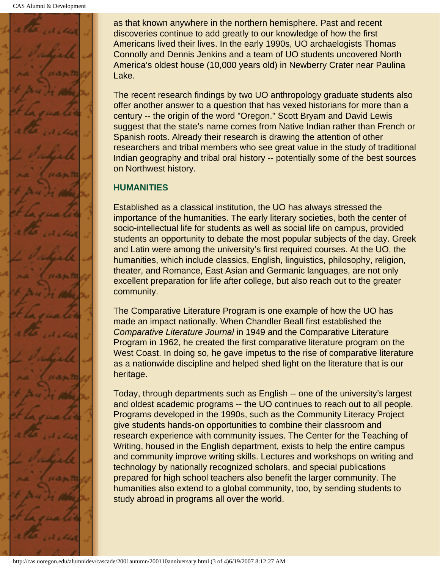

as that known anywhere in the northern hemisphere. Past and recent discoveries continue to add greatly to our knowledge of how the first Americans lived their lives. In the early 1990s, UO archaelogists Thomas Connolly and Dennis Jenkins and a team of UO students uncovered North America's oldest house (10,000 years old) in Newberry Crater near Paulina Lake.

The recent research findings by two UO anthropology graduate students also offer another answer to a question that has vexed historians for more than a century -- the origin of the word "Oregon." Scott Bryam and David Lewis suggest that the state's name comes from Native Indian rather than French or Spanish roots. Already their research is drawing the attention of other researchers and tribal members who see great value in the study of traditional Indian geography and tribal oral history -- potentially some of the best sources on Northwest history.

#### **HUMANITIES**

Established as a classical institution, the UO has always stressed the importance of the humanities. The early literary societies, both the center of socio-intellectual life for students as well as social life on campus, provided students an opportunity to debate the most popular subjects of the day. Greek and Latin were among the university's first required courses. At the UO, the humanities, which include classics, English, linguistics, philosophy, religion, theater, and Romance, East Asian and Germanic languages, are not only excellent preparation for life after college, but also reach out to the greater community.

The Comparative Literature Program is one example of how the UO has made an impact nationally. When Chandler Beall first established the *Comparative Literature Journal* in 1949 and the Comparative Literature Program in 1962, he created the first comparative literature program on the West Coast. In doing so, he gave impetus to the rise of comparative literature as a nationwide discipline and helped shed light on the literature that is our heritage.

Today, through departments such as English -- one of the university's largest and oldest academic programs -- the UO continues to reach out to all people. Programs developed in the 1990s, such as the Community Literacy Project give students hands-on opportunities to combine their classroom and research experience with community issues. The Center for the Teaching of Writing, housed in the English department, exists to help the entire campus and community improve writing skills. Lectures and workshops on writing and technology by nationally recognized scholars, and special publications prepared for high school teachers also benefit the larger community. The humanities also extend to a global community, too, by sending students to study abroad in programs all over the world.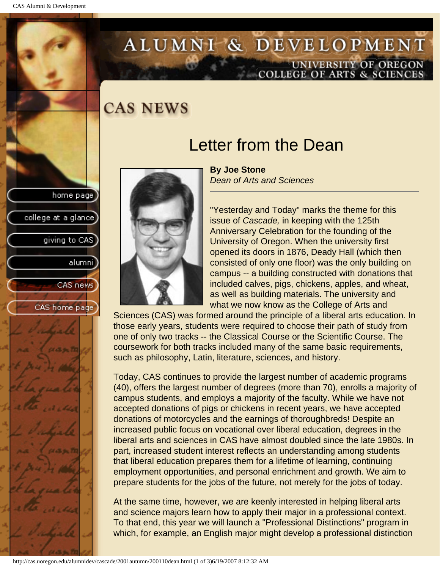# ALUMNI & DEVELOPMENT UNIVERSITY OF OREGON<br>COLLEGE OF ARTS & SCIENCES

### **CAS NEWS**

### Letter from the Dean

**By Joe Stone** *Dean of Arts and Sciences*

"Yesterday and Today" marks the theme for this issue of *Cascade,* in keeping with the 125th Anniversary Celebration for the founding of the University of Oregon. When the university first opened its doors in 1876, Deady Hall (which then consisted of only one floor) was the only building on campus -- a building constructed with donations that included calves, pigs, chickens, apples, and wheat, as well as building materials. The university and what we now know as the College of Arts and

Sciences (CAS) was formed around the principle of a liberal arts education. In those early years, students were required to choose their path of study from one of only two tracks -- the Classical Course or the Scientific Course. The coursework for both tracks included many of the same basic requirements, such as philosophy, Latin, literature, sciences, and history.

Today, CAS continues to provide the largest number of academic programs (40), offers the largest number of degrees (more than 70), enrolls a majority of campus students, and employs a majority of the faculty. While we have not accepted donations of pigs or chickens in recent years, we have accepted donations of motorcycles and the earnings of thoroughbreds! Despite an increased public focus on vocational over liberal education, degrees in the liberal arts and sciences in CAS have almost doubled since the late 1980s. In part, increased student interest reflects an understanding among students that liberal education prepares them for a lifetime of learning, continuing employment opportunities, and personal enrichment and growth. We aim to prepare students for the jobs of the future, not merely for the jobs of today.

At the same time, however, we are keenly interested in helping liberal arts and science majors learn how to apply their major in a professional context. To that end, this year we will launch a "Professional Distinctions" program in which, for example, an English major might develop a professional distinction



<span id="page-5-0"></span>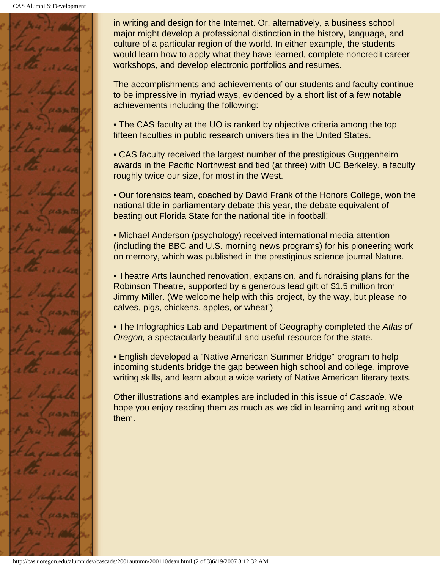CAS Alumni & Development



in writing and design for the Internet. Or, alternatively, a business school major might develop a professional distinction in the history, language, and culture of a particular region of the world. In either example, the students would learn how to apply what they have learned, complete noncredit career workshops, and develop electronic portfolios and resumes.

The accomplishments and achievements of our students and faculty continue to be impressive in myriad ways, evidenced by a short list of a few notable achievements including the following:

• The CAS faculty at the UO is ranked by objective criteria among the top fifteen faculties in public research universities in the United States.

• CAS faculty received the largest number of the prestigious Guggenheim awards in the Pacific Northwest and tied (at three) with UC Berkeley, a faculty roughly twice our size, for most in the West.

• Our forensics team, coached by David Frank of the Honors College, won the national title in parliamentary debate this year, the debate equivalent of beating out Florida State for the national title in football!

• Michael Anderson (psychology) received international media attention (including the BBC and U.S. morning news programs) for his pioneering work on memory, which was published in the prestigious science journal Nature.

• Theatre Arts launched renovation, expansion, and fundraising plans for the Robinson Theatre, supported by a generous lead gift of \$1.5 million from Jimmy Miller. (We welcome help with this project, by the way, but please no calves, pigs, chickens, apples, or wheat!)

• The Infographics Lab and Department of Geography completed the *Atlas of Oregon,* a spectacularly beautiful and useful resource for the state.

• English developed a "Native American Summer Bridge" program to help incoming students bridge the gap between high school and college, improve writing skills, and learn about a wide variety of Native American literary texts.

Other illustrations and examples are included in this issue of *Cascade.* We hope you enjoy reading them as much as we did in learning and writing about them.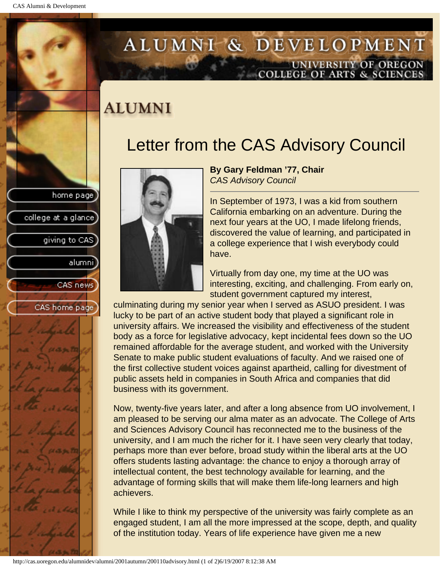college at a glance

giving to CAS

alumni

CAS news

CAS home page

# <span id="page-7-0"></span>ALUMNI & DEVELOPMENT UNIVERSITY OF OREGON<br>COLLEGE OF ARTS & SCIENCES

# **ALUMNI**

# Letter from the CAS Advisory Council



**By Gary Feldman '77, Chair** *CAS Advisory Council* 

In September of 1973, I was a kid from southern California embarking on an adventure. During the next four years at the UO, I made lifelong friends, discovered the value of learning, and participated in a college experience that I wish everybody could have.

Virtually from day one, my time at the UO was interesting, exciting, and challenging. From early on, student government captured my interest,

culminating during my senior year when I served as ASUO president. I was lucky to be part of an active student body that played a significant role in university affairs. We increased the visibility and effectiveness of the student body as a force for legislative advocacy, kept incidental fees down so the UO remained affordable for the average student, and worked with the University Senate to make public student evaluations of faculty. And we raised one of the first collective student voices against apartheid, calling for divestment of public assets held in companies in South Africa and companies that did business with its government.

Now, twenty-five years later, and after a long absence from UO involvement, I am pleased to be serving our alma mater as an advocate. The College of Arts and Sciences Advisory Council has reconnected me to the business of the university, and I am much the richer for it. I have seen very clearly that today, perhaps more than ever before, broad study within the liberal arts at the UO offers students lasting advantage: the chance to enjoy a thorough array of intellectual content, the best technology available for learning, and the advantage of forming skills that will make them life-long learners and high achievers.

While I like to think my perspective of the university was fairly complete as an engaged student, I am all the more impressed at the scope, depth, and quality of the institution today. Years of life experience have given me a new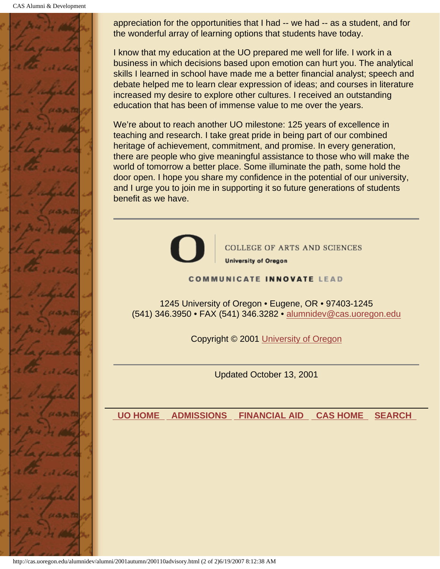CAS Alumni & Development



appreciation for the opportunities that I had -- we had -- as a student, and for the wonderful array of learning options that students have today.

I know that my education at the UO prepared me well for life. I work in a business in which decisions based upon emotion can hurt you. The analytical skills I learned in school have made me a better financial analyst; speech and debate helped me to learn clear expression of ideas; and courses in literature increased my desire to explore other cultures. I received an outstanding education that has been of immense value to me over the years.

We're about to reach another UO milestone: 125 years of excellence in teaching and research. I take great pride in being part of our combined heritage of achievement, commitment, and promise. In every generation, there are people who give meaningful assistance to those who will make the world of tomorrow a better place. Some illuminate the path, some hold the door open. I hope you share my confidence in the potential of our university, and I urge you to join me in supporting it so future generations of students benefit as we have.



**COLLEGE OF ARTS AND SCIENCES** 

**University of Oregon** 

#### **COMMUNICATE INNOVATE LEAD**

1245 University of Oregon • Eugene, OR • 97403-1245 (541) 346.3950 • FAX (541) 346.3282 • alumnidev@cas.uoregon.edu

Copyright © 2001 University of Oregon

Updated October 13, 2001

 **UO HOME ADMISSIONS FINANCIAL AID CAS HOME SEARCH**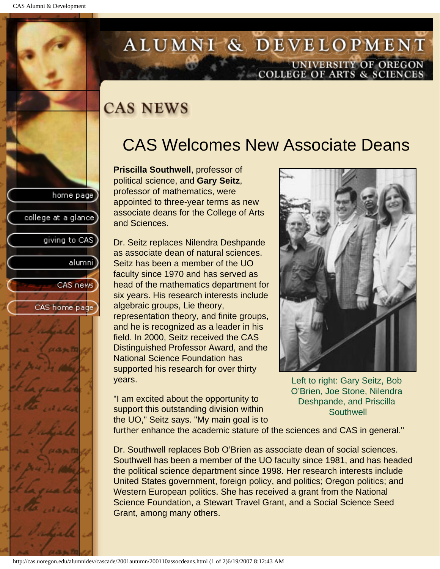college at a glance

giving to CAS

alumnil

CAS news

CAS home page

# <span id="page-9-0"></span>ALUMNI & DEVELOPMENT UNIVERSITY OF OREGON<br>COLLEGE OF ARTS & SCIENCES

# **CAS NEWS**

# CAS Welcomes New Associate Deans

**Priscilla Southwell**, professor of political science, and **Gary Seitz**, professor of mathematics, were appointed to three-year terms as new associate deans for the College of Arts and Sciences.

Dr. Seitz replaces Nilendra Deshpande as associate dean of natural sciences. Seitz has been a member of the UO faculty since 1970 and has served as head of the mathematics department for six years. His research interests include algebraic groups, Lie theory, representation theory, and finite groups, and he is recognized as a leader in his field. In 2000, Seitz received the CAS Distinguished Professor Award, and the National Science Foundation has supported his research for over thirty years.

"I am excited about the opportunity to support this outstanding division within the UO," Seitz says. "My main goal is to



Left to right: Gary Seitz, Bob O'Brien, Joe Stone, Nilendra Deshpande, and Priscilla **Southwell** 

further enhance the academic stature of the sciences and CAS in general."

Dr. Southwell replaces Bob O'Brien as associate dean of social sciences. Southwell has been a member of the UO faculty since 1981, and has headed the political science department since 1998. Her research interests include United States government, foreign policy, and politics; Oregon politics; and Western European politics. She has received a grant from the National Science Foundation, a Stewart Travel Grant, and a Social Science Seed Grant, among many others.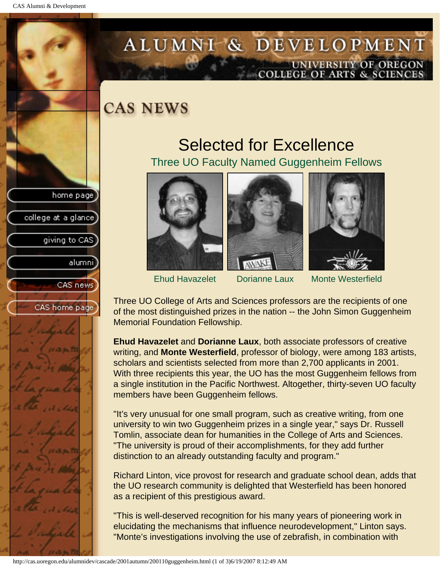college at a glance

giving to CAS

alumni

CAS news

CAS home page

# <span id="page-10-0"></span>ALUMNI & DEVELOPMENT UNIVERSITY OF OREGON<br>COLLEGE OF ARTS & SCIENCES

**CAS NEWS** 

### Selected for Excellence Three UO Faculty Named Guggenheim Fellows







Ehud Havazelet Dorianne Laux Monte Westerfield

Three UO College of Arts and Sciences professors are the recipients of one of the most distinguished prizes in the nation -- the John Simon Guggenheim Memorial Foundation Fellowship.

**Ehud Havazelet** and **Dorianne Laux**, both associate professors of creative writing, and **Monte Westerfield**, professor of biology, were among 183 artists, scholars and scientists selected from more than 2,700 applicants in 2001. With three recipients this year, the UO has the most Guggenheim fellows from a single institution in the Pacific Northwest. Altogether, thirty-seven UO faculty members have been Guggenheim fellows.

"It's very unusual for one small program, such as creative writing, from one university to win two Guggenheim prizes in a single year," says Dr. Russell Tomlin, associate dean for humanities in the College of Arts and Sciences. "The university is proud of their accomplishments, for they add further distinction to an already outstanding faculty and program."

Richard Linton, vice provost for research and graduate school dean, adds that the UO research community is delighted that Westerfield has been honored as a recipient of this prestigious award.

"This is well-deserved recognition for his many years of pioneering work in elucidating the mechanisms that influence neurodevelopment," Linton says. "Monte's investigations involving the use of zebrafish, in combination with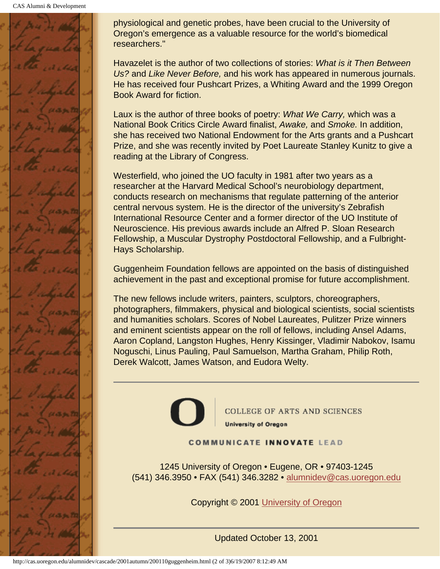CAS Alumni & Development



physiological and genetic probes, have been crucial to the University of Oregon's emergence as a valuable resource for the world's biomedical researchers."

Havazelet is the author of two collections of stories: *What is it Then Between Us?* and *Like Never Before,* and his work has appeared in numerous journals. He has received four Pushcart Prizes, a Whiting Award and the 1999 Oregon Book Award for fiction.

Laux is the author of three books of poetry: *What We Carry,* which was a National Book Critics Circle Award finalist, *Awake,* and *Smoke.* In addition, she has received two National Endowment for the Arts grants and a Pushcart Prize, and she was recently invited by Poet Laureate Stanley Kunitz to give a reading at the Library of Congress.

Westerfield, who joined the UO faculty in 1981 after two years as a researcher at the Harvard Medical School's neurobiology department, conducts research on mechanisms that regulate patterning of the anterior central nervous system. He is the director of the university's Zebrafish International Resource Center and a former director of the UO Institute of Neuroscience. His previous awards include an Alfred P. Sloan Research Fellowship, a Muscular Dystrophy Postdoctoral Fellowship, and a Fulbright-Hays Scholarship.

Guggenheim Foundation fellows are appointed on the basis of distinguished achievement in the past and exceptional promise for future accomplishment.

The new fellows include writers, painters, sculptors, choreographers, photographers, filmmakers, physical and biological scientists, social scientists and humanities scholars. Scores of Nobel Laureates, Pulitzer Prize winners and eminent scientists appear on the roll of fellows, including Ansel Adams, Aaron Copland, Langston Hughes, Henry Kissinger, Vladimir Nabokov, Isamu Noguschi, Linus Pauling, Paul Samuelson, Martha Graham, Philip Roth, Derek Walcott, James Watson, and Eudora Welty.



**COLLEGE OF ARTS AND SCIENCES University of Oregon** 

#### **COMMUNICATE INNOVATE LEAD**

1245 University of Oregon • Eugene, OR • 97403-1245 (541) 346.3950 • FAX (541) 346.3282 • alumnidev@cas.uoregon.edu

Copyright © 2001 University of Oregon

Updated October 13, 2001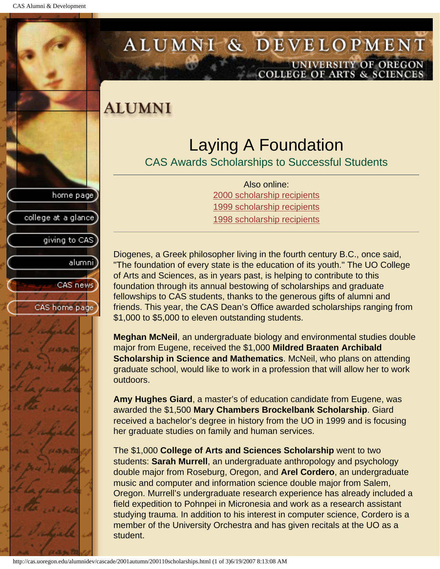college at a glance]

giving to CAS

alumnil

CAS news

CAS home page

# <span id="page-12-0"></span>ALUMNI & DEVELOPMENT UNIVERSITY OF OREGON<br>COLLEGE OF ARTS & SCIENCES

# **ALUMNI**

# Laying A Foundation

CAS Awards Scholarships to Successful Students

Also online: 2000 scholarship recipients 1999 scholarship recipients 1998 scholarship recipients

Diogenes, a Greek philosopher living in the fourth century B.C., once said, "The foundation of every state is the education of its youth." The UO College of Arts and Sciences, as in years past, is helping to contribute to this foundation through its annual bestowing of scholarships and graduate fellowships to CAS students, thanks to the generous gifts of alumni and friends. This year, the CAS Dean's Office awarded scholarships ranging from \$1,000 to \$5,000 to eleven outstanding students.

**Meghan McNeil**, an undergraduate biology and environmental studies double major from Eugene, received the \$1,000 **Mildred Braaten Archibald Scholarship in Science and Mathematics**. McNeil, who plans on attending graduate school, would like to work in a profession that will allow her to work outdoors.

**Amy Hughes Giard**, a master's of education candidate from Eugene, was awarded the \$1,500 **Mary Chambers Brockelbank Scholarship**. Giard received a bachelor's degree in history from the UO in 1999 and is focusing her graduate studies on family and human services.

The \$1,000 **College of Arts and Sciences Scholarship** went to two students: **Sarah Murrell**, an undergraduate anthropology and psychology double major from Roseburg, Oregon, and **Arel Cordero**, an undergraduate music and computer and information science double major from Salem, Oregon. Murrell's undergraduate research experience has already included a field expedition to Pohnpei in Micronesia and work as a research assistant studying trauma. In addition to his interest in computer science, Cordero is a member of the University Orchestra and has given recitals at the UO as a student.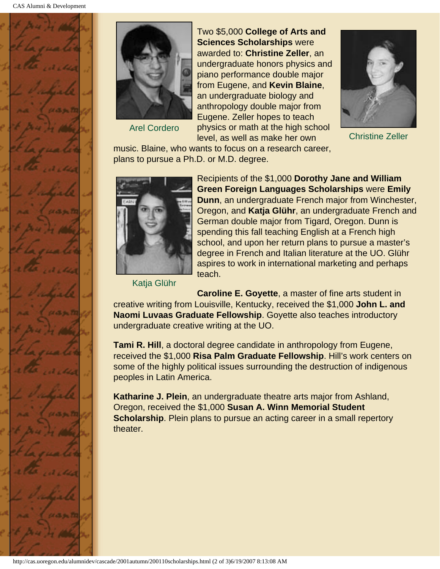



Arel Cordero

Two \$5,000 **College of Arts and Sciences Scholarships** were awarded to: **Christine Zeller**, an undergraduate honors physics and piano performance double major from Eugene, and **Kevin Blaine**, an undergraduate biology and anthropology double major from Eugene. Zeller hopes to teach physics or math at the high school level, as well as make her own



Christine Zeller

music. Blaine, who wants to focus on a research career, plans to pursue a Ph.D. or M.D. degree.



Katja Glühr

Recipients of the \$1,000 **Dorothy Jane and William Green Foreign Languages Scholarships** were **Emily Dunn**, an undergraduate French major from Winchester, Oregon, and **Katja Glühr**, an undergraduate French and German double major from Tigard, Oregon. Dunn is spending this fall teaching English at a French high school, and upon her return plans to pursue a master's degree in French and Italian literature at the UO. Glühr aspires to work in international marketing and perhaps teach.

**Caroline E. Goyette**, a master of fine arts student in creative writing from Louisville, Kentucky, received the \$1,000 **John L. and Naomi Luvaas Graduate Fellowship**. Goyette also teaches introductory undergraduate creative writing at the UO.

**Tami R. Hill**, a doctoral degree candidate in anthropology from Eugene, received the \$1,000 **Risa Palm Graduate Fellowship**. Hill's work centers on some of the highly political issues surrounding the destruction of indigenous peoples in Latin America.

**Katharine J. Plein**, an undergraduate theatre arts major from Ashland, Oregon, received the \$1,000 **Susan A. Winn Memorial Student Scholarship**. Plein plans to pursue an acting career in a small repertory theater.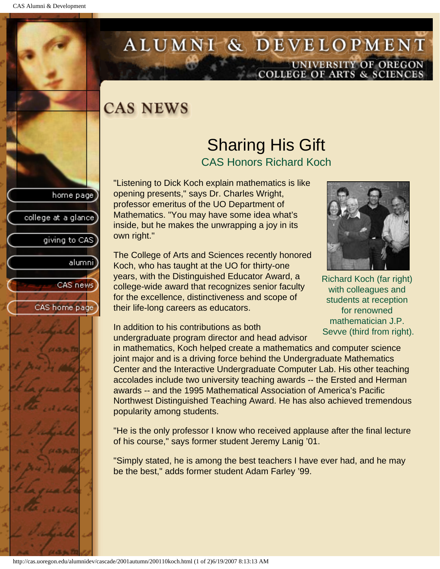college at a glance

giving to CAS

alumnil

CAS news

CAS home page

# <span id="page-14-0"></span>ALUMNI & DEVELOPMENT UNIVERSITY OF OREGON<br>COLLEGE OF ARTS & SCIENCES

# **CAS NEWS**

### Sharing His Gift CAS Honors Richard Koch

"Listening to Dick Koch explain mathematics is like opening presents," says Dr. Charles Wright, professor emeritus of the UO Department of Mathematics. "You may have some idea what's inside, but he makes the unwrapping a joy in its own right."

The College of Arts and Sciences recently honored Koch, who has taught at the UO for thirty-one years, with the Distinguished Educator Award, a college-wide award that recognizes senior faculty for the excellence, distinctiveness and scope of their life-long careers as educators.



Richard Koch (far right) with colleagues and students at reception for renowned mathematician J.P. Sevve (third from right).

In addition to his contributions as both undergraduate program director and head advisor

in mathematics, Koch helped create a mathematics and computer science joint major and is a driving force behind the Undergraduate Mathematics Center and the Interactive Undergraduate Computer Lab. His other teaching accolades include two university teaching awards -- the Ersted and Herman awards -- and the 1995 Mathematical Association of America's Pacific Northwest Distinguished Teaching Award. He has also achieved tremendous popularity among students.

"He is the only professor I know who received applause after the final lecture of his course," says former student Jeremy Lanig '01.

"Simply stated, he is among the best teachers I have ever had, and he may be the best," adds former student Adam Farley '99.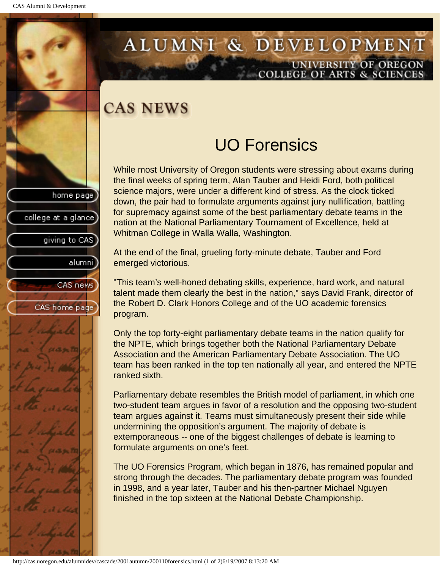# <span id="page-15-0"></span>ALUMNI & DEVELOPMENT UNIVERSITY OF OREGON<br>COLLEGE OF ARTS & SCIENCES

# **CAS NEWS**

# home page college at a glance giving to CAS alumni CAS news CAS home page

# UO Forensics

While most University of Oregon students were stressing about exams during the final weeks of spring term, Alan Tauber and Heidi Ford, both political science majors, were under a different kind of stress. As the clock ticked down, the pair had to formulate arguments against jury nullification, battling for supremacy against some of the best parliamentary debate teams in the nation at the National Parliamentary Tournament of Excellence, held at Whitman College in Walla Walla, Washington.

At the end of the final, grueling forty-minute debate, Tauber and Ford emerged victorious.

"This team's well-honed debating skills, experience, hard work, and natural talent made them clearly the best in the nation," says David Frank, director of the Robert D. Clark Honors College and of the UO academic forensics program.

Only the top forty-eight parliamentary debate teams in the nation qualify for the NPTE, which brings together both the National Parliamentary Debate Association and the American Parliamentary Debate Association. The UO team has been ranked in the top ten nationally all year, and entered the NPTE ranked sixth.

Parliamentary debate resembles the British model of parliament, in which one two-student team argues in favor of a resolution and the opposing two-student team argues against it. Teams must simultaneously present their side while undermining the opposition's argument. The majority of debate is extemporaneous -- one of the biggest challenges of debate is learning to formulate arguments on one's feet.

The UO Forensics Program, which began in 1876, has remained popular and strong through the decades. The parliamentary debate program was founded in 1998, and a year later, Tauber and his then-partner Michael Nguyen finished in the top sixteen at the National Debate Championship.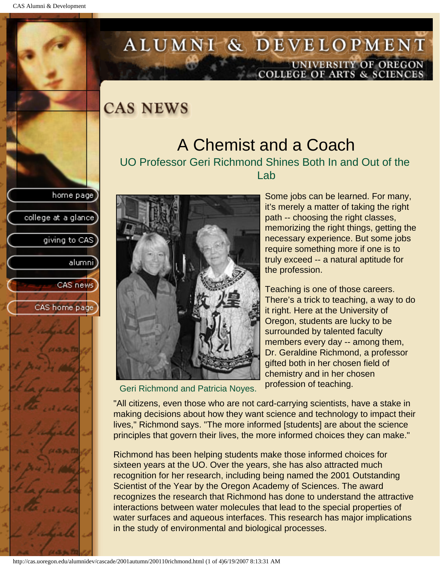college at a glance]

giving to CAS

alumnil

CAS news

CAS home page

# <span id="page-16-0"></span>ALUMNI & DEVELOPMENT UNIVERSITY OF OREGON<br>COLLEGE OF ARTS & SCIENCES

**CAS NEWS** 

#### A Chemist and a Coach UO Professor Geri Richmond Shines Both In and Out of the

Lab



Geri Richmond and Patricia Noyes.

Some jobs can be learned. For many, it's merely a matter of taking the right path -- choosing the right classes, memorizing the right things, getting the necessary experience. But some jobs require something more if one is to truly exceed -- a natural aptitude for the profession.

Teaching is one of those careers. There's a trick to teaching, a way to do it right. Here at the University of Oregon, students are lucky to be surrounded by talented faculty members every day -- among them, Dr. Geraldine Richmond, a professor gifted both in her chosen field of chemistry and in her chosen profession of teaching.

"All citizens, even those who are not card-carrying scientists, have a stake in making decisions about how they want science and technology to impact their lives," Richmond says. "The more informed [students] are about the science principles that govern their lives, the more informed choices they can make."

Richmond has been helping students make those informed choices for sixteen years at the UO. Over the years, she has also attracted much recognition for her research, including being named the 2001 Outstanding Scientist of the Year by the Oregon Academy of Sciences. The award recognizes the research that Richmond has done to understand the attractive interactions between water molecules that lead to the special properties of water surfaces and aqueous interfaces. This research has major implications in the study of environmental and biological processes.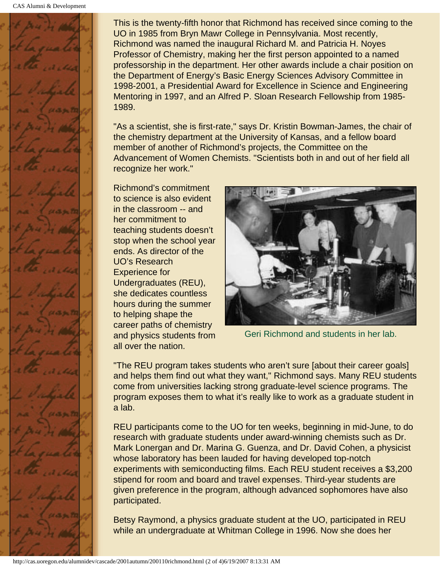

This is the twenty-fifth honor that Richmond has received since coming to the UO in 1985 from Bryn Mawr College in Pennsylvania. Most recently, Richmond was named the inaugural Richard M. and Patricia H. Noyes Professor of Chemistry, making her the first person appointed to a named professorship in the department. Her other awards include a chair position on the Department of Energy's Basic Energy Sciences Advisory Committee in 1998-2001, a Presidential Award for Excellence in Science and Engineering Mentoring in 1997, and an Alfred P. Sloan Research Fellowship from 1985- 1989.

"As a scientist, she is first-rate," says Dr. Kristin Bowman-James, the chair of the chemistry department at the University of Kansas, and a fellow board member of another of Richmond's projects, the Committee on the Advancement of Women Chemists. "Scientists both in and out of her field all recognize her work."

Richmond's commitment to science is also evident in the classroom -- and her commitment to teaching students doesn't stop when the school year ends. As director of the UO's Research Experience for Undergraduates (REU), she dedicates countless hours during the summer to helping shape the career paths of chemistry and physics students from all over the nation.



Geri Richmond and students in her lab.

"The REU program takes students who aren't sure [about their career goals] and helps them find out what they want," Richmond says. Many REU students come from universities lacking strong graduate-level science programs. The program exposes them to what it's really like to work as a graduate student in a lab.

REU participants come to the UO for ten weeks, beginning in mid-June, to do research with graduate students under award-winning chemists such as Dr. Mark Lonergan and Dr. Marina G. Guenza, and Dr. David Cohen, a physicist whose laboratory has been lauded for having developed top-notch experiments with semiconducting films. Each REU student receives a \$3,200 stipend for room and board and travel expenses. Third-year students are given preference in the program, although advanced sophomores have also participated.

Betsy Raymond, a physics graduate student at the UO, participated in REU while an undergraduate at Whitman College in 1996. Now she does her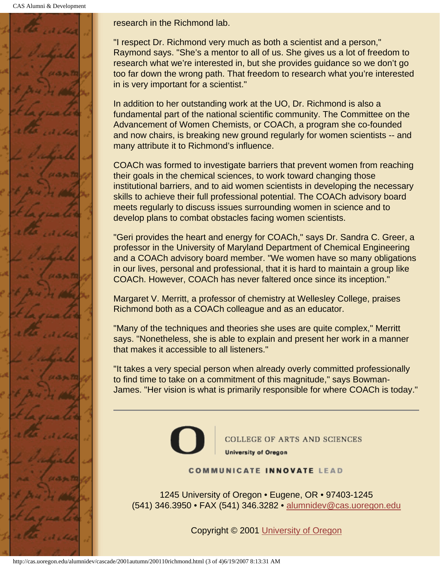CAS Alumni & Development



research in the Richmond lab.

"I respect Dr. Richmond very much as both a scientist and a person," Raymond says. "She's a mentor to all of us. She gives us a lot of freedom to research what we're interested in, but she provides guidance so we don't go too far down the wrong path. That freedom to research what you're interested in is very important for a scientist."

In addition to her outstanding work at the UO, Dr. Richmond is also a fundamental part of the national scientific community. The Committee on the Advancement of Women Chemists, or COACh, a program she co-founded and now chairs, is breaking new ground regularly for women scientists -- and many attribute it to Richmond's influence.

COACh was formed to investigate barriers that prevent women from reaching their goals in the chemical sciences, to work toward changing those institutional barriers, and to aid women scientists in developing the necessary skills to achieve their full professional potential. The COACh advisory board meets regularly to discuss issues surrounding women in science and to develop plans to combat obstacles facing women scientists.

"Geri provides the heart and energy for COACh," says Dr. Sandra C. Greer, a professor in the University of Maryland Department of Chemical Engineering and a COACh advisory board member. "We women have so many obligations in our lives, personal and professional, that it is hard to maintain a group like COACh. However, COACh has never faltered once since its inception."

Margaret V. Merritt, a professor of chemistry at Wellesley College, praises Richmond both as a COACh colleague and as an educator.

"Many of the techniques and theories she uses are quite complex," Merritt says. "Nonetheless, she is able to explain and present her work in a manner that makes it accessible to all listeners."

"It takes a very special person when already overly committed professionally to find time to take on a commitment of this magnitude," says Bowman-James. "Her vision is what is primarily responsible for where COACh is today."



COLLEGE OF ARTS AND SCIENCES **University of Oregon** 

**COMMUNICATE INNOVATE LEAD** 

1245 University of Oregon • Eugene, OR • 97403-1245 (541) 346.3950 • FAX (541) 346.3282 • alumnidev@cas.uoregon.edu

Copyright © 2001 University of Oregon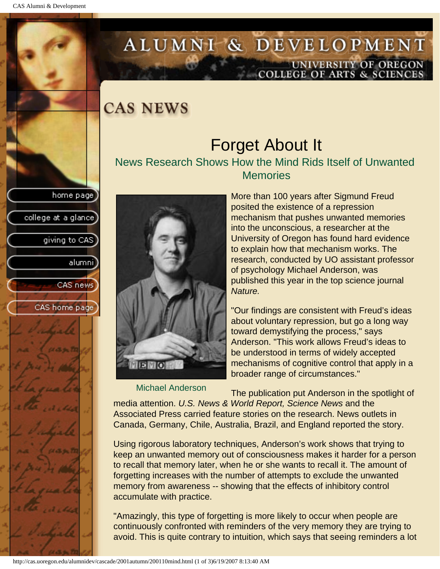college at a glance]

giving to CAS

alumni

CAS news

CAS home page

# <span id="page-19-0"></span>ALUMNI & DEVELOPMENT UNIVERSITY OF OREGON<br>COLLEGE OF ARTS & SCIENCES

### **CAS NEWS**

### Forget About It News Research Shows How the Mind Rids Itself of Unwanted **Memories**



Michael Anderson

More than 100 years after Sigmund Freud posited the existence of a repression mechanism that pushes unwanted memories into the unconscious, a researcher at the University of Oregon has found hard evidence to explain how that mechanism works. The research, conducted by UO assistant professor of psychology Michael Anderson, was published this year in the top science journal *Nature.*

"Our findings are consistent with Freud's ideas about voluntary repression, but go a long way toward demystifying the process," says Anderson. "This work allows Freud's ideas to be understood in terms of widely accepted mechanisms of cognitive control that apply in a broader range of circumstances."

The publication put Anderson in the spotlight of

media attention. *U.S. News & World Report, Science News* and the Associated Press carried feature stories on the research. News outlets in Canada, Germany, Chile, Australia, Brazil, and England reported the story.

Using rigorous laboratory techniques, Anderson's work shows that trying to keep an unwanted memory out of consciousness makes it harder for a person to recall that memory later, when he or she wants to recall it. The amount of forgetting increases with the number of attempts to exclude the unwanted memory from awareness -- showing that the effects of inhibitory control accumulate with practice.

"Amazingly, this type of forgetting is more likely to occur when people are continuously confronted with reminders of the very memory they are trying to avoid. This is quite contrary to intuition, which says that seeing reminders a lot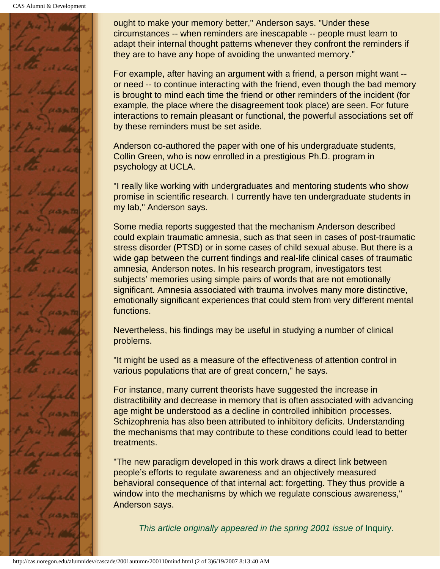CAS Alumni & Development



ought to make your memory better," Anderson says. "Under these circumstances -- when reminders are inescapable -- people must learn to adapt their internal thought patterns whenever they confront the reminders if they are to have any hope of avoiding the unwanted memory."

For example, after having an argument with a friend, a person might want - or need -- to continue interacting with the friend, even though the bad memory is brought to mind each time the friend or other reminders of the incident (for example, the place where the disagreement took place) are seen. For future interactions to remain pleasant or functional, the powerful associations set off by these reminders must be set aside.

Anderson co-authored the paper with one of his undergraduate students, Collin Green, who is now enrolled in a prestigious Ph.D. program in psychology at UCLA.

"I really like working with undergraduates and mentoring students who show promise in scientific research. I currently have ten undergraduate students in my lab," Anderson says.

Some media reports suggested that the mechanism Anderson described could explain traumatic amnesia, such as that seen in cases of post-traumatic stress disorder (PTSD) or in some cases of child sexual abuse. But there is a wide gap between the current findings and real-life clinical cases of traumatic amnesia, Anderson notes. In his research program, investigators test subjects' memories using simple pairs of words that are not emotionally significant. Amnesia associated with trauma involves many more distinctive, emotionally significant experiences that could stem from very different mental functions.

Nevertheless, his findings may be useful in studying a number of clinical problems.

"It might be used as a measure of the effectiveness of attention control in various populations that are of great concern," he says.

For instance, many current theorists have suggested the increase in distractibility and decrease in memory that is often associated with advancing age might be understood as a decline in controlled inhibition processes. Schizophrenia has also been attributed to inhibitory deficits. Understanding the mechanisms that may contribute to these conditions could lead to better treatments.

"The new paradigm developed in this work draws a direct link between people's efforts to regulate awareness and an objectively measured behavioral consequence of that internal act: forgetting. They thus provide a window into the mechanisms by which we regulate conscious awareness," Anderson says.

*This article originally appeared in the spring 2001 issue of Inquiry.*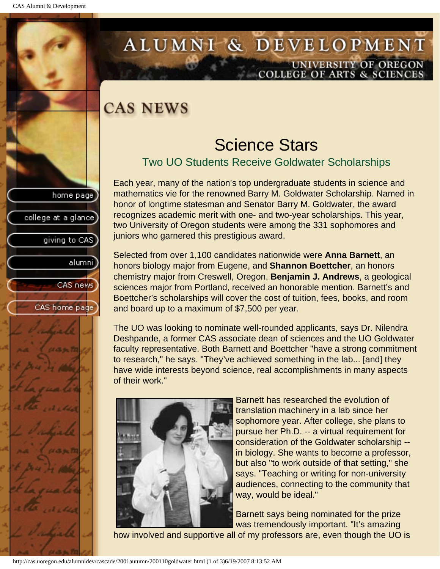college at a glance

giving to CAS

alumnil

CAS news

CAS home page

# <span id="page-21-0"></span>ALUMNI & DEVELOPMENT UNIVERSITY OF OREGON<br>COLLEGE OF ARTS & SCIENCES

# **CAS NEWS**

### Science Stars

#### Two UO Students Receive Goldwater Scholarships

Each year, many of the nation's top undergraduate students in science and mathematics vie for the renowned Barry M. Goldwater Scholarship. Named in honor of longtime statesman and Senator Barry M. Goldwater, the award recognizes academic merit with one- and two-year scholarships. This year, two University of Oregon students were among the 331 sophomores and juniors who garnered this prestigious award.

Selected from over 1,100 candidates nationwide were **Anna Barnett**, an honors biology major from Eugene, and **Shannon Boettcher**, an honors chemistry major from Creswell, Oregon. **Benjamin J. Andrews**, a geological sciences major from Portland, received an honorable mention. Barnett's and Boettcher's scholarships will cover the cost of tuition, fees, books, and room and board up to a maximum of \$7,500 per year.

The UO was looking to nominate well-rounded applicants, says Dr. Nilendra Deshpande, a former CAS associate dean of sciences and the UO Goldwater faculty representative. Both Barnett and Boettcher "have a strong commitment to research," he says. "They've achieved something in the lab... [and] they have wide interests beyond science, real accomplishments in many aspects of their work."



Barnett has researched the evolution of translation machinery in a lab since her sophomore year. After college, she plans to pursue her Ph.D. -- a virtual requirement for consideration of the Goldwater scholarship - in biology. She wants to become a professor, but also "to work outside of that setting," she says. "Teaching or writing for non-university audiences, connecting to the community that way, would be ideal."

Barnett says being nominated for the prize was tremendously important. "It's amazing

how involved and supportive all of my professors are, even though the UO is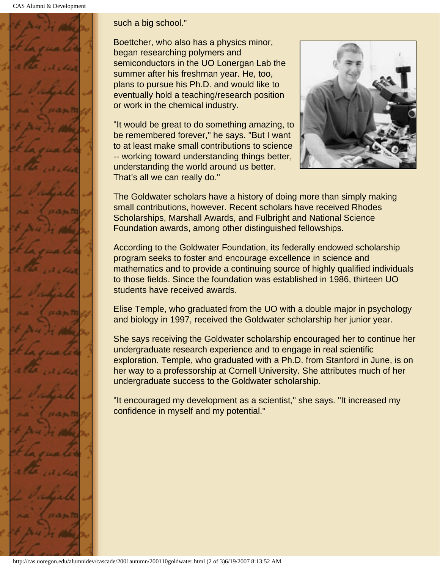CAS Alumni & Development



#### such a big school."

Boettcher, who also has a physics minor, began researching polymers and semiconductors in the UO Lonergan Lab the summer after his freshman year. He, too, plans to pursue his Ph.D. and would like to eventually hold a teaching/research position or work in the chemical industry.

"It would be great to do something amazing, to be remembered forever," he says. "But I want to at least make small contributions to science -- working toward understanding things better, understanding the world around us better. That's all we can really do."



The Goldwater scholars have a history of doing more than simply making small contributions, however. Recent scholars have received Rhodes Scholarships, Marshall Awards, and Fulbright and National Science Foundation awards, among other distinguished fellowships.

According to the Goldwater Foundation, its federally endowed scholarship program seeks to foster and encourage excellence in science and mathematics and to provide a continuing source of highly qualified individuals to those fields. Since the foundation was established in 1986, thirteen UO students have received awards.

Elise Temple, who graduated from the UO with a double major in psychology and biology in 1997, received the Goldwater scholarship her junior year.

She says receiving the Goldwater scholarship encouraged her to continue her undergraduate research experience and to engage in real scientific exploration. Temple, who graduated with a Ph.D. from Stanford in June, is on her way to a professorship at Cornell University. She attributes much of her undergraduate success to the Goldwater scholarship.

"It encouraged my development as a scientist," she says. "It increased my confidence in myself and my potential."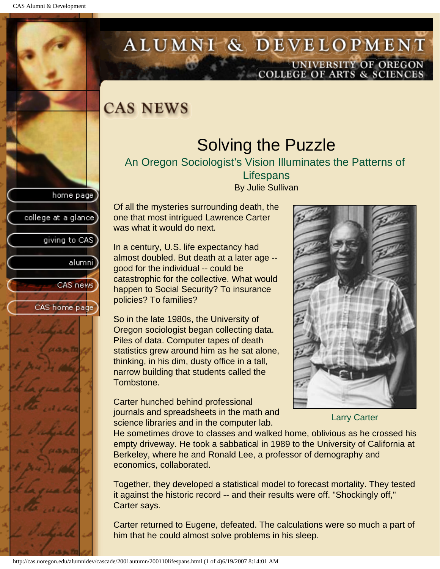college at a glance]

giving to CAS

alumnil

CAS news

CAS home page

# <span id="page-23-0"></span>ALUMNI & DEVELOPMENT UNIVERSITY OF OREGON<br>COLLEGE OF ARTS & SCIENCES

# **CAS NEWS**

# Solving the Puzzle

An Oregon Sociologist's Vision Illuminates the Patterns of

**Lifespans** By Julie Sullivan

Of all the mysteries surrounding death, the one that most intrigued Lawrence Carter was what it would do next.

In a century, U.S. life expectancy had almost doubled. But death at a later age - good for the individual -- could be catastrophic for the collective. What would happen to Social Security? To insurance policies? To families?

So in the late 1980s, the University of Oregon sociologist began collecting data. Piles of data. Computer tapes of death statistics grew around him as he sat alone, thinking, in his dim, dusty office in a tall, narrow building that students called the Tombstone.

Carter hunched behind professional journals and spreadsheets in the math and science libraries and in the computer lab.



Larry Carter

He sometimes drove to classes and walked home, oblivious as he crossed his empty driveway. He took a sabbatical in 1989 to the University of California at Berkeley, where he and Ronald Lee, a professor of demography and economics, collaborated.

Together, they developed a statistical model to forecast mortality. They tested it against the historic record -- and their results were off. "Shockingly off," Carter says.

Carter returned to Eugene, defeated. The calculations were so much a part of him that he could almost solve problems in his sleep.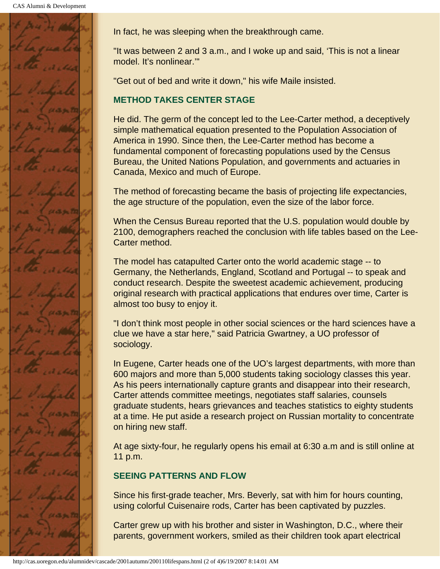

In fact, he was sleeping when the breakthrough came.

"It was between 2 and 3 a.m., and I woke up and said, 'This is not a linear model. It's nonlinear.'"

"Get out of bed and write it down," his wife Maile insisted.

#### **METHOD TAKES CENTER STAGE**

He did. The germ of the concept led to the Lee-Carter method, a deceptively simple mathematical equation presented to the Population Association of America in 1990. Since then, the Lee-Carter method has become a fundamental component of forecasting populations used by the Census Bureau, the United Nations Population, and governments and actuaries in Canada, Mexico and much of Europe.

The method of forecasting became the basis of projecting life expectancies, the age structure of the population, even the size of the labor force.

When the Census Bureau reported that the U.S. population would double by 2100, demographers reached the conclusion with life tables based on the Lee-Carter method.

The model has catapulted Carter onto the world academic stage -- to Germany, the Netherlands, England, Scotland and Portugal -- to speak and conduct research. Despite the sweetest academic achievement, producing original research with practical applications that endures over time, Carter is almost too busy to enjoy it.

"I don't think most people in other social sciences or the hard sciences have a clue we have a star here," said Patricia Gwartney, a UO professor of sociology.

In Eugene, Carter heads one of the UO's largest departments, with more than 600 majors and more than 5,000 students taking sociology classes this year. As his peers internationally capture grants and disappear into their research, Carter attends committee meetings, negotiates staff salaries, counsels graduate students, hears grievances and teaches statistics to eighty students at a time. He put aside a research project on Russian mortality to concentrate on hiring new staff.

At age sixty-four, he regularly opens his email at 6:30 a.m and is still online at 11 p.m.

#### **SEEING PATTERNS AND FLOW**

Since his first-grade teacher, Mrs. Beverly, sat with him for hours counting, using colorful Cuisenaire rods, Carter has been captivated by puzzles.

Carter grew up with his brother and sister in Washington, D.C., where their parents, government workers, smiled as their children took apart electrical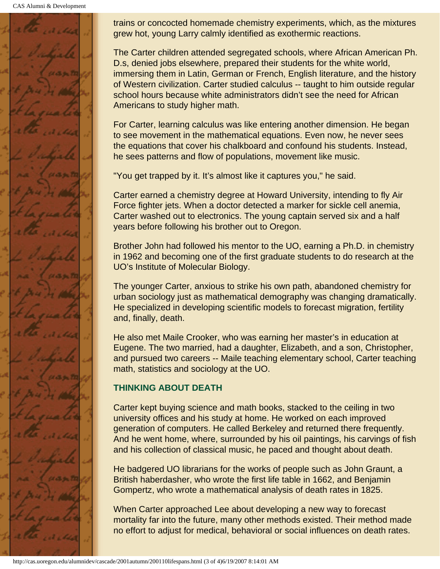CAS Alumni & Development



trains or concocted homemade chemistry experiments, which, as the mixtures grew hot, young Larry calmly identified as exothermic reactions.

The Carter children attended segregated schools, where African American Ph. D.s, denied jobs elsewhere, prepared their students for the white world, immersing them in Latin, German or French, English literature, and the history of Western civilization. Carter studied calculus -- taught to him outside regular school hours because white administrators didn't see the need for African Americans to study higher math.

For Carter, learning calculus was like entering another dimension. He began to see movement in the mathematical equations. Even now, he never sees the equations that cover his chalkboard and confound his students. Instead, he sees patterns and flow of populations, movement like music.

"You get trapped by it. It's almost like it captures you," he said.

Carter earned a chemistry degree at Howard University, intending to fly Air Force fighter jets. When a doctor detected a marker for sickle cell anemia, Carter washed out to electronics. The young captain served six and a half years before following his brother out to Oregon.

Brother John had followed his mentor to the UO, earning a Ph.D. in chemistry in 1962 and becoming one of the first graduate students to do research at the UO's Institute of Molecular Biology.

The younger Carter, anxious to strike his own path, abandoned chemistry for urban sociology just as mathematical demography was changing dramatically. He specialized in developing scientific models to forecast migration, fertility and, finally, death.

He also met Maile Crooker, who was earning her master's in education at Eugene. The two married, had a daughter, Elizabeth, and a son, Christopher, and pursued two careers -- Maile teaching elementary school, Carter teaching math, statistics and sociology at the UO.

#### **THINKING ABOUT DEATH**

Carter kept buying science and math books, stacked to the ceiling in two university offices and his study at home. He worked on each improved generation of computers. He called Berkeley and returned there frequently. And he went home, where, surrounded by his oil paintings, his carvings of fish and his collection of classical music, he paced and thought about death.

He badgered UO librarians for the works of people such as John Graunt, a British haberdasher, who wrote the first life table in 1662, and Benjamin Gompertz, who wrote a mathematical analysis of death rates in 1825.

When Carter approached Lee about developing a new way to forecast mortality far into the future, many other methods existed. Their method made no effort to adjust for medical, behavioral or social influences on death rates.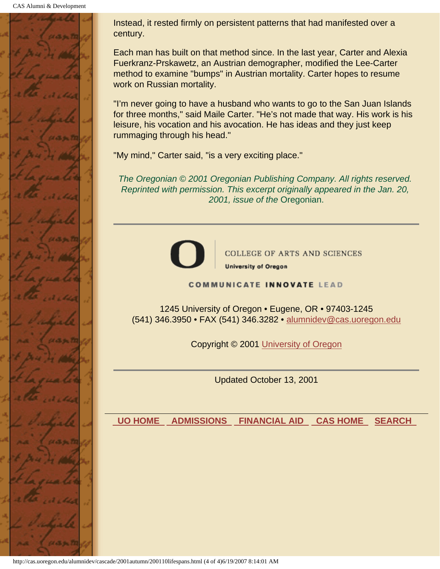CAS Alumni & Development



Instead, it rested firmly on persistent patterns that had manifested over a century.

Each man has built on that method since. In the last year, Carter and Alexia Fuerkranz-Prskawetz, an Austrian demographer, modified the Lee-Carter method to examine "bumps" in Austrian mortality. Carter hopes to resume work on Russian mortality.

"I'm never going to have a husband who wants to go to the San Juan Islands for three months," said Maile Carter. "He's not made that way. His work is his leisure, his vocation and his avocation. He has ideas and they just keep rummaging through his head."

"My mind," Carter said, "is a very exciting place."

*The Oregonian © 2001 Oregonian Publishing Company. All rights reserved. Reprinted with permission. This excerpt originally appeared in the Jan. 20, 2001, issue of the* Oregonian.



**COLLEGE OF ARTS AND SCIENCES University of Oregon** 

**COMMUNICATE INNOVATE LEAD** 

1245 University of Oregon • Eugene, OR • 97403-1245 (541) 346.3950 • FAX (541) 346.3282 • alumnidev@cas.uoregon.edu

Copyright © 2001 University of Oregon

Updated October 13, 2001

 **UO HOME ADMISSIONS FINANCIAL AID CAS HOME SEARCH**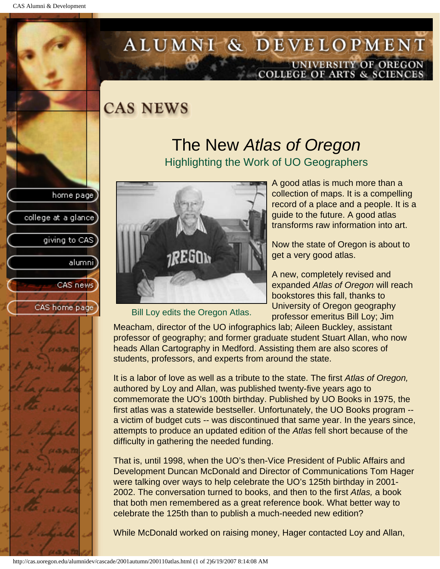college at a glance]

giving to CAS

alumnil

CAS news

CAS home page

# <span id="page-27-0"></span>ALUMNI & DEVELOPMENT UNIVERSITY OF OREGON<br>COLLEGE OF ARTS & SCIENCES

### **CAS NEWS**

### The New *Atlas of Oregon* Highlighting the Work of UO Geographers



Bill Loy edits the Oregon Atlas.

A good atlas is much more than a collection of maps. It is a compelling record of a place and a people. It is a guide to the future. A good atlas transforms raw information into art.

Now the state of Oregon is about to get a very good atlas.

A new, completely revised and expanded *Atlas of Oregon* will reach bookstores this fall, thanks to University of Oregon geography professor emeritus Bill Loy; Jim

Meacham, director of the UO infographics lab; Aileen Buckley, assistant professor of geography; and former graduate student Stuart Allan, who now heads Allan Cartography in Medford. Assisting them are also scores of students, professors, and experts from around the state.

It is a labor of love as well as a tribute to the state. The first *Atlas of Oregon,* authored by Loy and Allan, was published twenty-five years ago to commemorate the UO's 100th birthday. Published by UO Books in 1975, the first atlas was a statewide bestseller. Unfortunately, the UO Books program - a victim of budget cuts -- was discontinued that same year. In the years since, attempts to produce an updated edition of the *Atlas* fell short because of the difficulty in gathering the needed funding.

That is, until 1998, when the UO's then-Vice President of Public Affairs and Development Duncan McDonald and Director of Communications Tom Hager were talking over ways to help celebrate the UO's 125th birthday in 2001- 2002. The conversation turned to books, and then to the first *Atlas,* a book that both men remembered as a great reference book. What better way to celebrate the 125th than to publish a much-needed new edition?

While McDonald worked on raising money, Hager contacted Loy and Allan,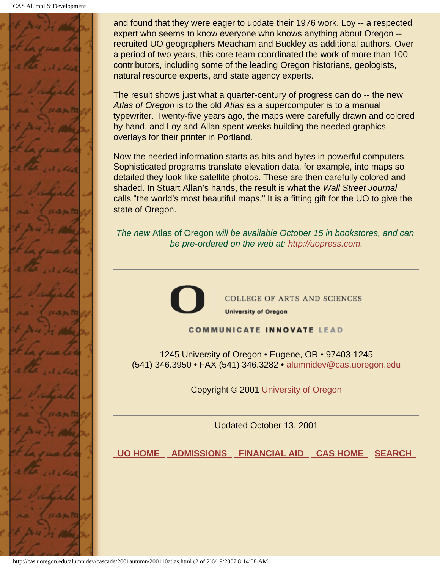

and found that they were eager to update their 1976 work. Loy -- a respected expert who seems to know everyone who knows anything about Oregon - recruited UO geographers Meacham and Buckley as additional authors. Over a period of two years, this core team coordinated the work of more than 100 contributors, including some of the leading Oregon historians, geologists, natural resource experts, and state agency experts.

The result shows just what a quarter-century of progress can do -- the new *Atlas of Oregon* is to the old *Atlas* as a supercomputer is to a manual typewriter. Twenty-five years ago, the maps were carefully drawn and colored by hand, and Loy and Allan spent weeks building the needed graphics overlays for their printer in Portland.

Now the needed information starts as bits and bytes in powerful computers. Sophisticated programs translate elevation data, for example, into maps so detailed they look like satellite photos. These are then carefully colored and shaded. In Stuart Allan's hands, the result is what the *Wall Street Journal* calls "the world's most beautiful maps." It is a fitting gift for the UO to give the state of Oregon.

*The new* Atlas of Oregon *will be available October 15 in bookstores, and can be pre-ordered on the web at: http://uopress.com.*



**COLLEGE OF ARTS AND SCIENCES University of Oregon** 

**COMMUNICATE INNOVATE LEAD** 

1245 University of Oregon • Eugene, OR • 97403-1245 (541) 346.3950 • FAX (541) 346.3282 • alumnidev@cas.uoregon.edu

Copyright © 2001 University of Oregon

Updated October 13, 2001

 **UO HOME ADMISSIONS FINANCIAL AID CAS HOME SEARCH**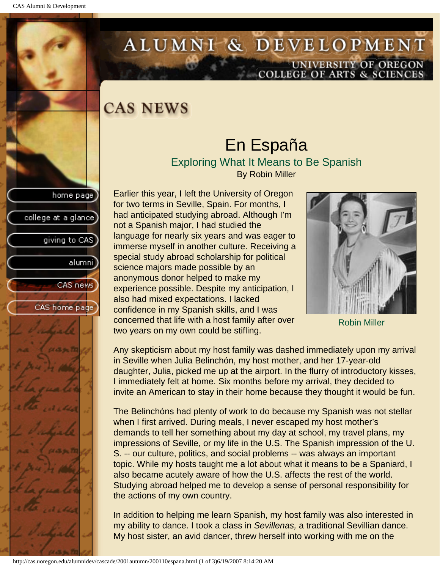<span id="page-29-0"></span>

# ALUMNI & DEVELOPMENT UNIVERSITY OF OREGON<br>COLLEGE OF ARTS & SCIENCES

# **CAS NEWS**

#### En España Exploring What It Means to Be Spanish By Robin Miller

Earlier this year, I left the University of Oregon for two terms in Seville, Spain. For months, I had anticipated studying abroad. Although I'm not a Spanish major, I had studied the language for nearly six years and was eager to immerse myself in another culture. Receiving a special study abroad scholarship for political science majors made possible by an anonymous donor helped to make my experience possible. Despite my anticipation, I also had mixed expectations. I lacked confidence in my Spanish skills, and I was concerned that life with a host family after over two years on my own could be stifling.



Robin Miller

Any skepticism about my host family was dashed immediately upon my arrival in Seville when Julia Belinchón, my host mother, and her 17-year-old daughter, Julia, picked me up at the airport. In the flurry of introductory kisses, I immediately felt at home. Six months before my arrival, they decided to invite an American to stay in their home because they thought it would be fun.

The Belinchóns had plenty of work to do because my Spanish was not stellar when I first arrived. During meals, I never escaped my host mother's demands to tell her something about my day at school, my travel plans, my impressions of Seville, or my life in the U.S. The Spanish impression of the U. S. -- our culture, politics, and social problems -- was always an important topic. While my hosts taught me a lot about what it means to be a Spaniard, I also became acutely aware of how the U.S. affects the rest of the world. Studying abroad helped me to develop a sense of personal responsibility for the actions of my own country.

In addition to helping me learn Spanish, my host family was also interested in my ability to dance. I took a class in *Sevillenas,* a traditional Sevillian dance. My host sister, an avid dancer, threw herself into working with me on the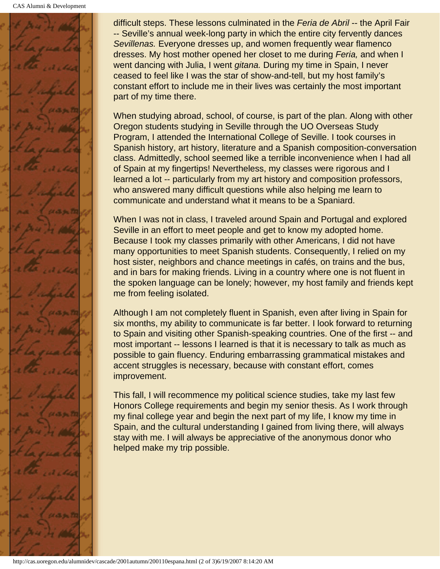

difficult steps. These lessons culminated in the *Feria de Abril* -- the April Fair -- Seville's annual week-long party in which the entire city fervently dances *Sevillenas.* Everyone dresses up, and women frequently wear flamenco dresses. My host mother opened her closet to me during *Feria,* and when I went dancing with Julia, I went *gitana.* During my time in Spain, I never ceased to feel like I was the star of show-and-tell, but my host family's constant effort to include me in their lives was certainly the most important part of my time there.

When studying abroad, school, of course, is part of the plan. Along with other Oregon students studying in Seville through the UO Overseas Study Program, I attended the International College of Seville. I took courses in Spanish history, art history, literature and a Spanish composition-conversation class. Admittedly, school seemed like a terrible inconvenience when I had all of Spain at my fingertips! Nevertheless, my classes were rigorous and I learned a lot -- particularly from my art history and composition professors, who answered many difficult questions while also helping me learn to communicate and understand what it means to be a Spaniard.

When I was not in class, I traveled around Spain and Portugal and explored Seville in an effort to meet people and get to know my adopted home. Because I took my classes primarily with other Americans, I did not have many opportunities to meet Spanish students. Consequently, I relied on my host sister, neighbors and chance meetings in cafés, on trains and the bus, and in bars for making friends. Living in a country where one is not fluent in the spoken language can be lonely; however, my host family and friends kept me from feeling isolated.

Although I am not completely fluent in Spanish, even after living in Spain for six months, my ability to communicate is far better. I look forward to returning to Spain and visiting other Spanish-speaking countries. One of the first -- and most important -- lessons I learned is that it is necessary to talk as much as possible to gain fluency. Enduring embarrassing grammatical mistakes and accent struggles is necessary, because with constant effort, comes improvement.

This fall, I will recommence my political science studies, take my last few Honors College requirements and begin my senior thesis. As I work through my final college year and begin the next part of my life, I know my time in Spain, and the cultural understanding I gained from living there, will always stay with me. I will always be appreciative of the anonymous donor who helped make my trip possible.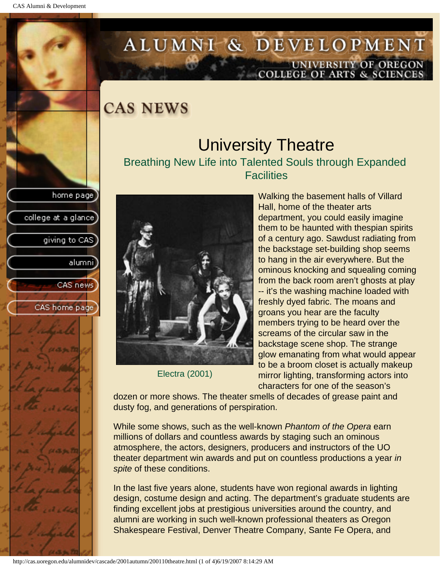college at a glance

giving to CAS

alumnil

CAS news

CAS home page

# <span id="page-31-0"></span>ALUMNI & DEVELOPMENT UNIVERSITY OF OREGON<br>COLLEGE OF ARTS & SCIENCES

**CAS NEWS** 

### University Theatre Breathing New Life into Talented Souls through Expanded **Facilities**



Electra (2001)

Walking the basement halls of Villard Hall, home of the theater arts department, you could easily imagine them to be haunted with thespian spirits of a century ago. Sawdust radiating from the backstage set-building shop seems to hang in the air everywhere. But the ominous knocking and squealing coming from the back room aren't ghosts at play -- it's the washing machine loaded with freshly dyed fabric. The moans and groans you hear are the faculty members trying to be heard over the screams of the circular saw in the backstage scene shop. The strange glow emanating from what would appear to be a broom closet is actually makeup mirror lighting, transforming actors into characters for one of the season's

dozen or more shows. The theater smells of decades of grease paint and dusty fog, and generations of perspiration.

While some shows, such as the well-known *Phantom of the Opera* earn millions of dollars and countless awards by staging such an ominous atmosphere, the actors, designers, producers and instructors of the UO theater department win awards and put on countless productions a year *in spite* of these conditions.

In the last five years alone, students have won regional awards in lighting design, costume design and acting. The department's graduate students are finding excellent jobs at prestigious universities around the country, and alumni are working in such well-known professional theaters as Oregon Shakespeare Festival, Denver Theatre Company, Sante Fe Opera, and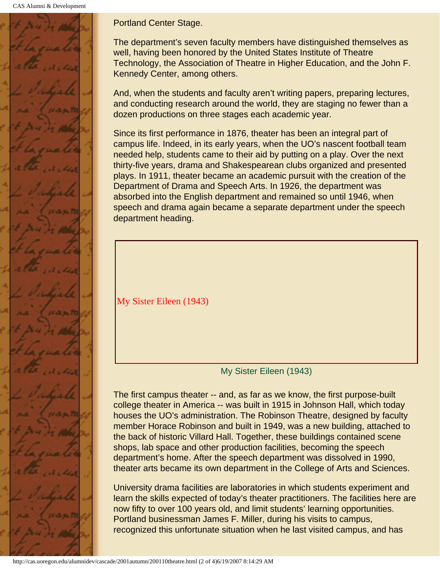CAS Alumni & Development



Portland Center Stage.

The department's seven faculty members have distinguished themselves as well, having been honored by the United States Institute of Theatre Technology, the Association of Theatre in Higher Education, and the John F. Kennedy Center, among others.

And, when the students and faculty aren't writing papers, preparing lectures, and conducting research around the world, they are staging no fewer than a dozen productions on three stages each academic year.

Since its first performance in 1876, theater has been an integral part of campus life. Indeed, in its early years, when the UO's nascent football team needed help, students came to their aid by putting on a play. Over the next thirty-five years, drama and Shakespearean clubs organized and presented plays. In 1911, theater became an academic pursuit with the creation of the Department of Drama and Speech Arts. In 1926, the department was absorbed into the English department and remained so until 1946, when speech and drama again became a separate department under the speech department heading.

My Sister Eileen (1943)

My Sister Eileen (1943)

The first campus theater -- and, as far as we know, the first purpose-built college theater in America -- was built in 1915 in Johnson Hall, which today houses the UO's administration. The Robinson Theatre, designed by faculty member Horace Robinson and built in 1949, was a new building, attached to the back of historic Villard Hall. Together, these buildings contained scene shops, lab space and other production facilities, becoming the speech department's home. After the speech department was dissolved in 1990, theater arts became its own department in the College of Arts and Sciences.

University drama facilities are laboratories in which students experiment and learn the skills expected of today's theater practitioners. The facilities here are now fifty to over 100 years old, and limit students' learning opportunities. Portland businessman James F. Miller, during his visits to campus, recognized this unfortunate situation when he last visited campus, and has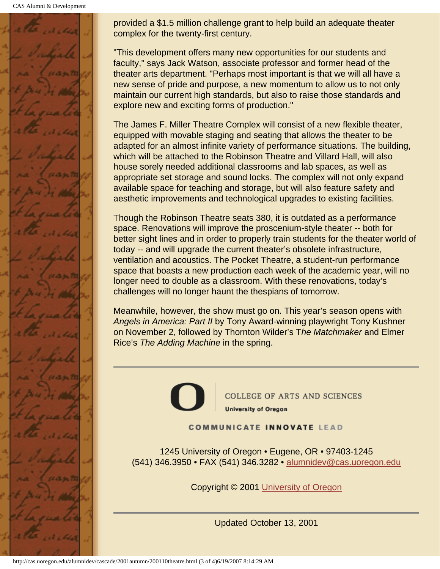CAS Alumni & Development



provided a \$1.5 million challenge grant to help build an adequate theater complex for the twenty-first century.

"This development offers many new opportunities for our students and faculty," says Jack Watson, associate professor and former head of the theater arts department. "Perhaps most important is that we will all have a new sense of pride and purpose, a new momentum to allow us to not only maintain our current high standards, but also to raise those standards and explore new and exciting forms of production."

The James F. Miller Theatre Complex will consist of a new flexible theater, equipped with movable staging and seating that allows the theater to be adapted for an almost infinite variety of performance situations. The building, which will be attached to the Robinson Theatre and Villard Hall, will also house sorely needed additional classrooms and lab spaces, as well as appropriate set storage and sound locks. The complex will not only expand available space for teaching and storage, but will also feature safety and aesthetic improvements and technological upgrades to existing facilities.

Though the Robinson Theatre seats 380, it is outdated as a performance space. Renovations will improve the proscenium-style theater -- both for better sight lines and in order to properly train students for the theater world of today -- and will upgrade the current theater's obsolete infrastructure, ventilation and acoustics. The Pocket Theatre, a student-run performance space that boasts a new production each week of the academic year, will no longer need to double as a classroom. With these renovations, today's challenges will no longer haunt the thespians of tomorrow.

Meanwhile, however, the show must go on. This year's season opens with *Angels in America: Part II* by Tony Award-winning playwright Tony Kushner on November 2, followed by Thornton Wilder's T*he Matchmaker* and Elmer Rice's *The Adding Machine* in the spring.



**COLLEGE OF ARTS AND SCIENCES University of Oregon** 

**COMMUNICATE INNOVATE LEAD** 

1245 University of Oregon • Eugene, OR • 97403-1245 (541) 346.3950 • FAX (541) 346.3282 • alumnidev@cas.uoregon.edu

Copyright © 2001 University of Oregon

Updated October 13, 2001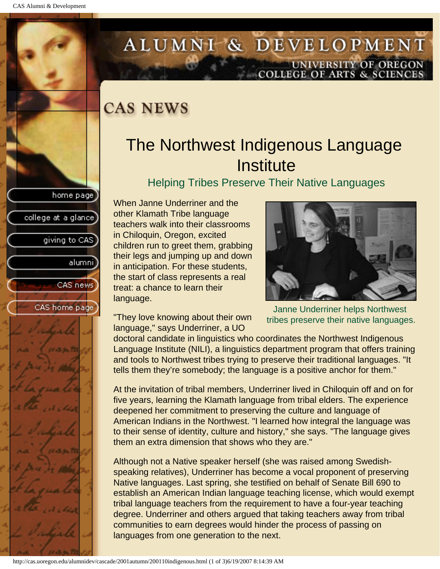college at a glance

giving to CAS

alumnil

CAS news

CAS home page

# <span id="page-34-0"></span>ALUMNI & DEVELOPMENT UNIVERSITY OF OREGON<br>COLLEGE OF ARTS & SCIENCES

### **CAS NEWS**

# The Northwest Indigenous Language **Institute**

Helping Tribes Preserve Their Native Languages

When Janne Underriner and the other Klamath Tribe language teachers walk into their classrooms in Chiloquin, Oregon, excited children run to greet them, grabbing their legs and jumping up and down in anticipation. For these students, the start of class represents a real treat: a chance to learn their language.



"They love knowing about their own language," says Underriner, a UO

Janne Underriner helps Northwest tribes preserve their native languages.

doctoral candidate in linguistics who coordinates the Northwest Indigenous Language Institute (NILI), a linguistics department program that offers training and tools to Northwest tribes trying to preserve their traditional languages. "It tells them they're somebody; the language is a positive anchor for them."

At the invitation of tribal members, Underriner lived in Chiloquin off and on for five years, learning the Klamath language from tribal elders. The experience deepened her commitment to preserving the culture and language of American Indians in the Northwest. "I learned how integral the language was to their sense of identity, culture and history," she says. "The language gives them an extra dimension that shows who they are."

Although not a Native speaker herself (she was raised among Swedishspeaking relatives), Underriner has become a vocal proponent of preserving Native languages. Last spring, she testified on behalf of Senate Bill 690 to establish an American Indian language teaching license, which would exempt tribal language teachers from the requirement to have a four-year teaching degree. Underriner and others argued that taking teachers away from tribal communities to earn degrees would hinder the process of passing on languages from one generation to the next.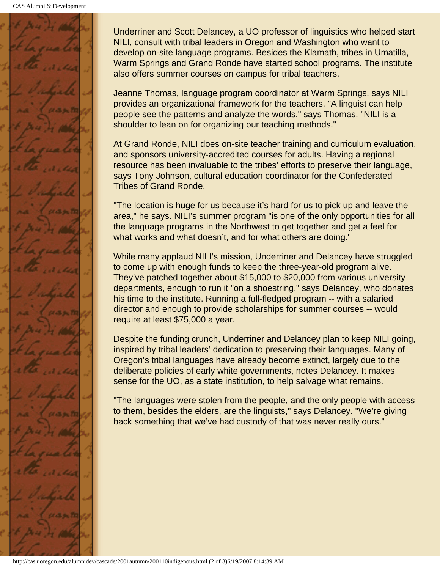

Underriner and Scott Delancey, a UO professor of linguistics who helped start NILI, consult with tribal leaders in Oregon and Washington who want to develop on-site language programs. Besides the Klamath, tribes in Umatilla, Warm Springs and Grand Ronde have started school programs. The institute also offers summer courses on campus for tribal teachers.

Jeanne Thomas, language program coordinator at Warm Springs, says NILI provides an organizational framework for the teachers. "A linguist can help people see the patterns and analyze the words," says Thomas. "NILI is a shoulder to lean on for organizing our teaching methods."

At Grand Ronde, NILI does on-site teacher training and curriculum evaluation, and sponsors university-accredited courses for adults. Having a regional resource has been invaluable to the tribes' efforts to preserve their language, says Tony Johnson, cultural education coordinator for the Confederated Tribes of Grand Ronde.

"The location is huge for us because it's hard for us to pick up and leave the area," he says. NILI's summer program "is one of the only opportunities for all the language programs in the Northwest to get together and get a feel for what works and what doesn't, and for what others are doing."

While many applaud NILI's mission, Underriner and Delancey have struggled to come up with enough funds to keep the three-year-old program alive. They've patched together about \$15,000 to \$20,000 from various university departments, enough to run it "on a shoestring," says Delancey, who donates his time to the institute. Running a full-fledged program -- with a salaried director and enough to provide scholarships for summer courses -- would require at least \$75,000 a year.

Despite the funding crunch, Underriner and Delancey plan to keep NILI going, inspired by tribal leaders' dedication to preserving their languages. Many of Oregon's tribal languages have already become extinct, largely due to the deliberate policies of early white governments, notes Delancey. It makes sense for the UO, as a state institution, to help salvage what remains.

"The languages were stolen from the people, and the only people with access to them, besides the elders, are the linguists," says Delancey. "We're giving back something that we've had custody of that was never really ours."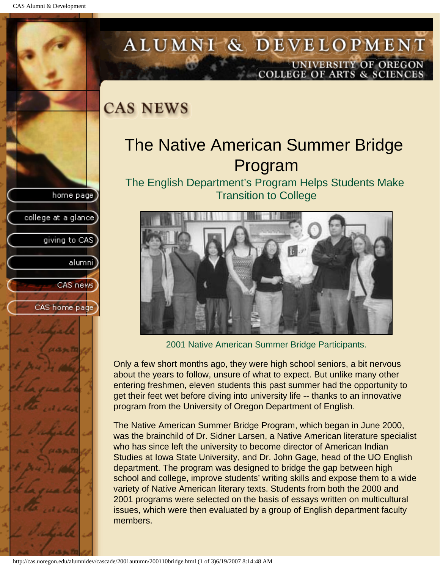college at a glance

giving to CAS

alumni

CAS news

CAS home page

# <span id="page-36-0"></span>ALUMNI & DEVELOPMENT UNIVERSITY OF OREGON<br>COLLEGE OF ARTS & SCIENCES

### **CAS NEWS**

# The Native American Summer Bridge Program

The English Department's Program Helps Students Make Transition to College



2001 Native American Summer Bridge Participants.

Only a few short months ago, they were high school seniors, a bit nervous about the years to follow, unsure of what to expect. But unlike many other entering freshmen, eleven students this past summer had the opportunity to get their feet wet before diving into university life -- thanks to an innovative program from the University of Oregon Department of English.

The Native American Summer Bridge Program, which began in June 2000, was the brainchild of Dr. Sidner Larsen, a Native American literature specialist who has since left the university to become director of American Indian Studies at Iowa State University, and Dr. John Gage, head of the UO English department. The program was designed to bridge the gap between high school and college, improve students' writing skills and expose them to a wide variety of Native American literary texts. Students from both the 2000 and 2001 programs were selected on the basis of essays written on multicultural issues, which were then evaluated by a group of English department faculty members.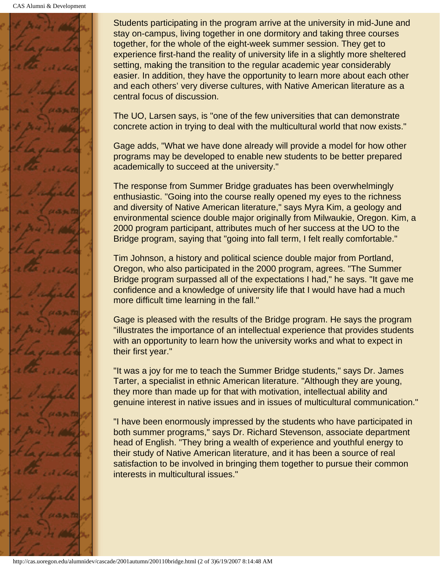

Students participating in the program arrive at the university in mid-June and stay on-campus, living together in one dormitory and taking three courses together, for the whole of the eight-week summer session. They get to experience first-hand the reality of university life in a slightly more sheltered setting, making the transition to the regular academic year considerably easier. In addition, they have the opportunity to learn more about each other and each others' very diverse cultures, with Native American literature as a central focus of discussion.

The UO, Larsen says, is "one of the few universities that can demonstrate concrete action in trying to deal with the multicultural world that now exists."

Gage adds, "What we have done already will provide a model for how other programs may be developed to enable new students to be better prepared academically to succeed at the university."

The response from Summer Bridge graduates has been overwhelmingly enthusiastic. "Going into the course really opened my eyes to the richness and diversity of Native American literature," says Myra Kim, a geology and environmental science double major originally from Milwaukie, Oregon. Kim, a 2000 program participant, attributes much of her success at the UO to the Bridge program, saying that "going into fall term, I felt really comfortable."

Tim Johnson, a history and political science double major from Portland, Oregon, who also participated in the 2000 program, agrees. "The Summer Bridge program surpassed all of the expectations I had," he says. "It gave me confidence and a knowledge of university life that I would have had a much more difficult time learning in the fall."

Gage is pleased with the results of the Bridge program. He says the program "illustrates the importance of an intellectual experience that provides students with an opportunity to learn how the university works and what to expect in their first year."

"It was a joy for me to teach the Summer Bridge students," says Dr. James Tarter, a specialist in ethnic American literature. "Although they are young, they more than made up for that with motivation, intellectual ability and genuine interest in native issues and in issues of multicultural communication."

"I have been enormously impressed by the students who have participated in both summer programs," says Dr. Richard Stevenson, associate department head of English. "They bring a wealth of experience and youthful energy to their study of Native American literature, and it has been a source of real satisfaction to be involved in bringing them together to pursue their common interests in multicultural issues."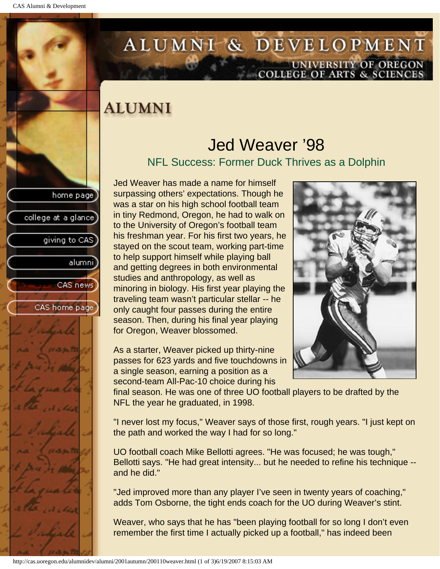college at a glance

giving to CAS

alumnil

CAS news

CAS home page

# <span id="page-38-0"></span>ALUMNI & DEVELOPMENT UNIVERSITY OF OREGON<br>COLLEGE OF ARTS & SCIENCES

# **ALUMNI**

### Jed Weaver '98 NFL Success: Former Duck Thrives as a Dolphin

Jed Weaver has made a name for himself surpassing others' expectations. Though he was a star on his high school football team in tiny Redmond, Oregon, he had to walk on to the University of Oregon's football team his freshman year. For his first two years, he stayed on the scout team, working part-time to help support himself while playing ball and getting degrees in both environmental studies and anthropology, as well as minoring in biology. His first year playing the traveling team wasn't particular stellar -- he only caught four passes during the entire season. Then, during his final year playing for Oregon, Weaver blossomed.

As a starter, Weaver picked up thirty-nine passes for 623 yards and five touchdowns in a single season, earning a position as a second-team All-Pac-10 choice during his

final season. He was one of three UO football players to be drafted by the NFL the year he graduated, in 1998.

"I never lost my focus," Weaver says of those first, rough years. "I just kept on the path and worked the way I had for so long."

UO football coach Mike Bellotti agrees. "He was focused; he was tough," Bellotti says. "He had great intensity... but he needed to refine his technique - and he did."

"Jed improved more than any player I've seen in twenty years of coaching," adds Tom Osborne, the tight ends coach for the UO during Weaver's stint.

Weaver, who says that he has "been playing football for so long I don't even remember the first time I actually picked up a football," has indeed been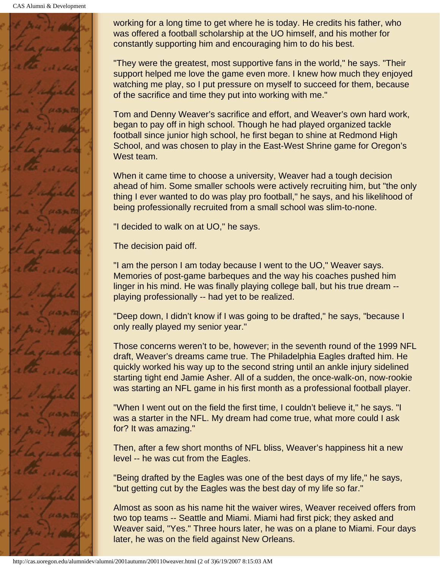

working for a long time to get where he is today. He credits his father, who was offered a football scholarship at the UO himself, and his mother for constantly supporting him and encouraging him to do his best.

"They were the greatest, most supportive fans in the world," he says. "Their support helped me love the game even more. I knew how much they enjoyed watching me play, so I put pressure on myself to succeed for them, because of the sacrifice and time they put into working with me."

Tom and Denny Weaver's sacrifice and effort, and Weaver's own hard work, began to pay off in high school. Though he had played organized tackle football since junior high school, he first began to shine at Redmond High School, and was chosen to play in the East-West Shrine game for Oregon's West team.

When it came time to choose a university, Weaver had a tough decision ahead of him. Some smaller schools were actively recruiting him, but "the only thing I ever wanted to do was play pro football," he says, and his likelihood of being professionally recruited from a small school was slim-to-none.

"I decided to walk on at UO," he says.

The decision paid off.

"I am the person I am today because I went to the UO," Weaver says. Memories of post-game barbeques and the way his coaches pushed him linger in his mind. He was finally playing college ball, but his true dream - playing professionally -- had yet to be realized.

"Deep down, I didn't know if I was going to be drafted," he says, "because I only really played my senior year."

Those concerns weren't to be, however; in the seventh round of the 1999 NFL draft, Weaver's dreams came true. The Philadelphia Eagles drafted him. He quickly worked his way up to the second string until an ankle injury sidelined starting tight end Jamie Asher. All of a sudden, the once-walk-on, now-rookie was starting an NFL game in his first month as a professional football player.

"When I went out on the field the first time, I couldn't believe it," he says. "I was a starter in the NFL. My dream had come true, what more could I ask for? It was amazing."

Then, after a few short months of NFL bliss, Weaver's happiness hit a new level -- he was cut from the Eagles.

"Being drafted by the Eagles was one of the best days of my life," he says, "but getting cut by the Eagles was the best day of my life so far."

Almost as soon as his name hit the waiver wires, Weaver received offers from two top teams -- Seattle and Miami. Miami had first pick; they asked and Weaver said, "Yes." Three hours later, he was on a plane to Miami. Four days later, he was on the field against New Orleans.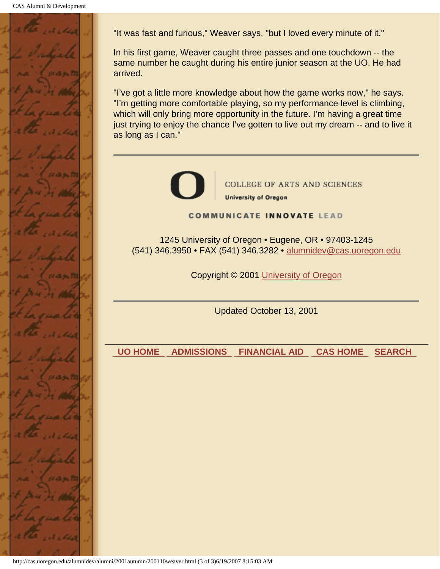

"It was fast and furious," Weaver says, "but I loved every minute of it."

In his first game, Weaver caught three passes and one touchdown -- the same number he caught during his entire junior season at the UO. He had arrived.

"I've got a little more knowledge about how the game works now," he says. "I'm getting more comfortable playing, so my performance level is climbing, which will only bring more opportunity in the future. I'm having a great time just trying to enjoy the chance I've gotten to live out my dream -- and to live it as long as I can."



**COLLEGE OF ARTS AND SCIENCES University of Oregon** 

**COMMUNICATE INNOVATE LEAD** 

1245 University of Oregon • Eugene, OR • 97403-1245 (541) 346.3950 • FAX (541) 346.3282 • alumnidev@cas.uoregon.edu

Copyright © 2001 University of Oregon

Updated October 13, 2001

 **UO HOME ADMISSIONS FINANCIAL AID CAS HOME SEARCH**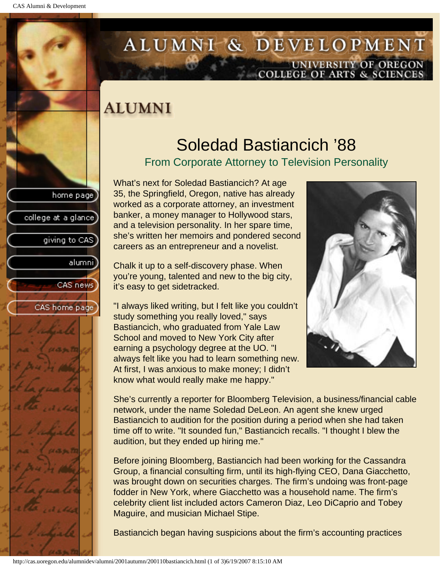college at a glance

giving to CAS

alumnil

CAS news

CAS home page

# <span id="page-41-0"></span>ALUMNI & DEVELOPMENT UNIVERSITY OF OREGON<br>COLLEGE OF ARTS & SCIENCES

# **ALUMNI**

# Soledad Bastiancich '88

#### From Corporate Attorney to Television Personality

What's next for Soledad Bastiancich? At age 35, the Springfield, Oregon, native has already worked as a corporate attorney, an investment banker, a money manager to Hollywood stars, and a television personality. In her spare time, she's written her memoirs and pondered second careers as an entrepreneur and a novelist.

Chalk it up to a self-discovery phase. When you're young, talented and new to the big city, it's easy to get sidetracked.

"I always liked writing, but I felt like you couldn't study something you really loved," says Bastiancich, who graduated from Yale Law School and moved to New York City after earning a psychology degree at the UO. "I always felt like you had to learn something new. At first, I was anxious to make money; I didn't know what would really make me happy."



She's currently a reporter for Bloomberg Television, a business/financial cable network, under the name Soledad DeLeon. An agent she knew urged Bastiancich to audition for the position during a period when she had taken time off to write. "It sounded fun," Bastiancich recalls. "I thought I blew the audition, but they ended up hiring me."

Before joining Bloomberg, Bastiancich had been working for the Cassandra Group, a financial consulting firm, until its high-flying CEO, Dana Giacchetto, was brought down on securities charges. The firm's undoing was front-page fodder in New York, where Giacchetto was a household name. The firm's celebrity client list included actors Cameron Diaz, Leo DiCaprio and Tobey Maguire, and musician Michael Stipe.

Bastiancich began having suspicions about the firm's accounting practices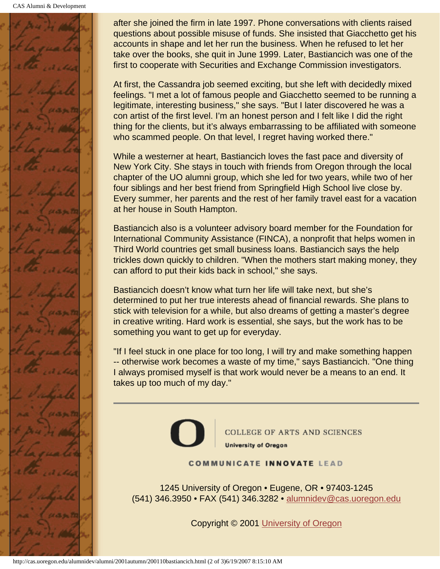CAS Alumni & Development



after she joined the firm in late 1997. Phone conversations with clients raised questions about possible misuse of funds. She insisted that Giacchetto get his accounts in shape and let her run the business. When he refused to let her take over the books, she quit in June 1999. Later, Bastiancich was one of the first to cooperate with Securities and Exchange Commission investigators.

At first, the Cassandra job seemed exciting, but she left with decidedly mixed feelings. "I met a lot of famous people and Giacchetto seemed to be running a legitimate, interesting business," she says. "But I later discovered he was a con artist of the first level. I'm an honest person and I felt like I did the right thing for the clients, but it's always embarrassing to be affiliated with someone who scammed people. On that level, I regret having worked there."

While a westerner at heart, Bastiancich loves the fast pace and diversity of New York City. She stays in touch with friends from Oregon through the local chapter of the UO alumni group, which she led for two years, while two of her four siblings and her best friend from Springfield High School live close by. Every summer, her parents and the rest of her family travel east for a vacation at her house in South Hampton.

Bastiancich also is a volunteer advisory board member for the Foundation for International Community Assistance (FINCA), a nonprofit that helps women in Third World countries get small business loans. Bastiancich says the help trickles down quickly to children. "When the mothers start making money, they can afford to put their kids back in school," she says.

Bastiancich doesn't know what turn her life will take next, but she's determined to put her true interests ahead of financial rewards. She plans to stick with television for a while, but also dreams of getting a master's degree in creative writing. Hard work is essential, she says, but the work has to be something you want to get up for everyday.

"If I feel stuck in one place for too long, I will try and make something happen -- otherwise work becomes a waste of my time," says Bastiancich. "One thing I always promised myself is that work would never be a means to an end. It takes up too much of my day."



COLLEGE OF ARTS AND SCIENCES **University of Oregon** 

#### **COMMUNICATE INNOVATE LEAD**

1245 University of Oregon • Eugene, OR • 97403-1245 (541) 346.3950 • FAX (541) 346.3282 • alumnidev@cas.uoregon.edu

Copyright © 2001 University of Oregon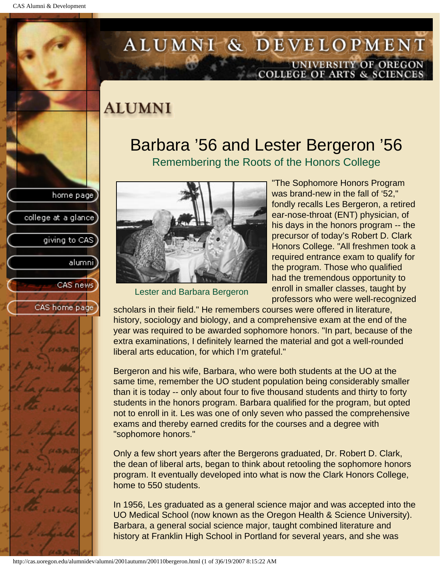college at a glance]

giving to CAS

alumnil

CAS news

CAS home page

# <span id="page-43-0"></span>ALUMNI & DEVELOPMENT UNIVERSITY OF OREGON<br>COLLEGE OF ARTS & SCIENCES

# **ALUMNI**

### Barbara '56 and Lester Bergeron '56 Remembering the Roots of the Honors College



Lester and Barbara Bergeron

"The Sophomore Honors Program was brand-new in the fall of '52," fondly recalls Les Bergeron, a retired ear-nose-throat (ENT) physician, of his days in the honors program -- the precursor of today's Robert D. Clark Honors College. "All freshmen took a required entrance exam to qualify for the program. Those who qualified had the tremendous opportunity to enroll in smaller classes, taught by professors who were well-recognized

scholars in their field." He remembers courses were offered in literature, history, sociology and biology, and a comprehensive exam at the end of the year was required to be awarded sophomore honors. "In part, because of the extra examinations, I definitely learned the material and got a well-rounded liberal arts education, for which I'm grateful."

Bergeron and his wife, Barbara, who were both students at the UO at the same time, remember the UO student population being considerably smaller than it is today -- only about four to five thousand students and thirty to forty students in the honors program. Barbara qualified for the program, but opted not to enroll in it. Les was one of only seven who passed the comprehensive exams and thereby earned credits for the courses and a degree with "sophomore honors."

Only a few short years after the Bergerons graduated, Dr. Robert D. Clark, the dean of liberal arts, began to think about retooling the sophomore honors program. It eventually developed into what is now the Clark Honors College, home to 550 students.

In 1956, Les graduated as a general science major and was accepted into the UO Medical School (now known as the Oregon Health & Science University). Barbara, a general social science major, taught combined literature and history at Franklin High School in Portland for several years, and she was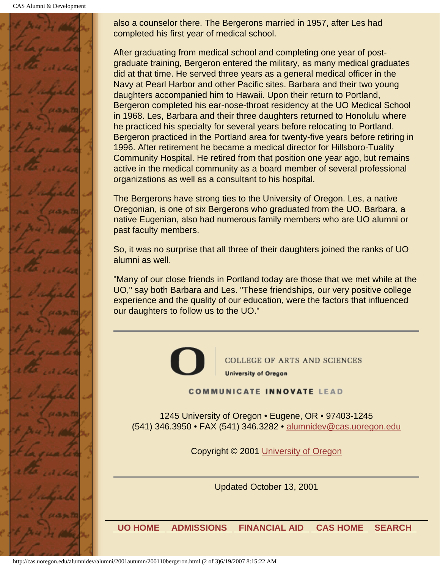CAS Alumni & Development



also a counselor there. The Bergerons married in 1957, after Les had completed his first year of medical school.

After graduating from medical school and completing one year of postgraduate training, Bergeron entered the military, as many medical graduates did at that time. He served three years as a general medical officer in the Navy at Pearl Harbor and other Pacific sites. Barbara and their two young daughters accompanied him to Hawaii. Upon their return to Portland, Bergeron completed his ear-nose-throat residency at the UO Medical School in 1968. Les, Barbara and their three daughters returned to Honolulu where he practiced his specialty for several years before relocating to Portland. Bergeron practiced in the Portland area for twenty-five years before retiring in 1996. After retirement he became a medical director for Hillsboro-Tuality Community Hospital. He retired from that position one year ago, but remains active in the medical community as a board member of several professional organizations as well as a consultant to his hospital.

The Bergerons have strong ties to the University of Oregon. Les, a native Oregonian, is one of six Bergerons who graduated from the UO. Barbara, a native Eugenian, also had numerous family members who are UO alumni or past faculty members.

So, it was no surprise that all three of their daughters joined the ranks of UO alumni as well.

"Many of our close friends in Portland today are those that we met while at the UO," say both Barbara and Les. "These friendships, our very positive college experience and the quality of our education, were the factors that influenced our daughters to follow us to the UO."



COLLEGE OF ARTS AND SCIENCES **University of Oregon** 

**COMMUNICATE INNOVATE LEAD** 

1245 University of Oregon • Eugene, OR • 97403-1245 (541) 346.3950 • FAX (541) 346.3282 • alumnidev@cas.uoregon.edu

Copyright © 2001 University of Oregon

Updated October 13, 2001

 **UO HOME ADMISSIONS FINANCIAL AID CAS HOME SEARCH**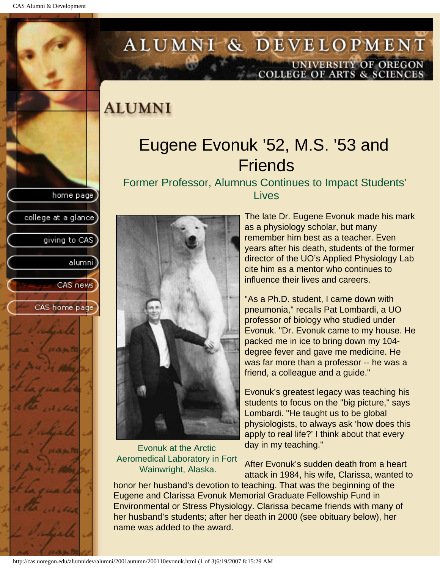college at a glance)

giving to CAS

alumnil

CAS news

CAS home page

# <span id="page-45-0"></span>ALUMNI & DEVELOPMENT UNIVERSITY OF OREGON<br>COLLEGE OF ARTS & SCIENCES

### **ALUMNI**

# Eugene Evonuk '52, M.S. '53 and **Friends**

Former Professor, Alumnus Continues to Impact Students' **Lives** 



#### Evonuk at the Arctic Aeromedical Laboratory in Fort Wainwright, Alaska.

The late Dr. Eugene Evonuk made his mark as a physiology scholar, but many remember him best as a teacher. Even years after his death, students of the former director of the UO's Applied Physiology Lab cite him as a mentor who continues to influence their lives and careers.

"As a Ph.D. student, I came down with pneumonia," recalls Pat Lombardi, a UO professor of biology who studied under Evonuk. "Dr. Evonuk came to my house. He packed me in ice to bring down my 104 degree fever and gave me medicine. He was far more than a professor -- he was a friend, a colleague and a guide."

Evonuk's greatest legacy was teaching his students to focus on the "big picture," says Lombardi. "He taught us to be global physiologists, to always ask 'how does this apply to real life?' I think about that every day in my teaching."

After Evonuk's sudden death from a heart attack in 1984, his wife, Clarissa, wanted to

honor her husband's devotion to teaching. That was the beginning of the Eugene and Clarissa Evonuk Memorial Graduate Fellowship Fund in Environmental or Stress Physiology. Clarissa became friends with many of her husband's students; after her death in 2000 (see obituary below), her name was added to the award.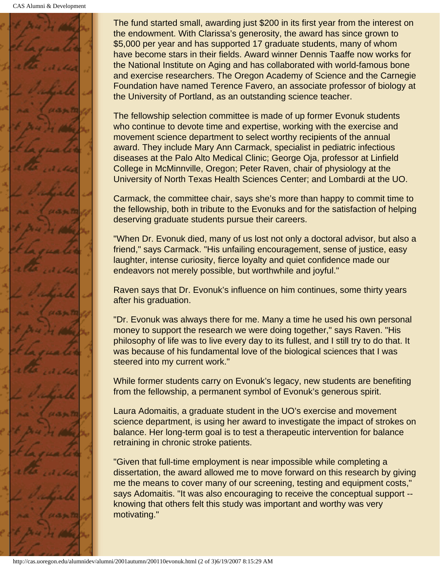

The fund started small, awarding just \$200 in its first year from the interest on the endowment. With Clarissa's generosity, the award has since grown to \$5,000 per year and has supported 17 graduate students, many of whom have become stars in their fields. Award winner Dennis Taaffe now works for the National Institute on Aging and has collaborated with world-famous bone and exercise researchers. The Oregon Academy of Science and the Carnegie Foundation have named Terence Favero, an associate professor of biology at the University of Portland, as an outstanding science teacher.

The fellowship selection committee is made of up former Evonuk students who continue to devote time and expertise, working with the exercise and movement science department to select worthy recipients of the annual award. They include Mary Ann Carmack, specialist in pediatric infectious diseases at the Palo Alto Medical Clinic; George Oja, professor at Linfield College in McMinnville, Oregon; Peter Raven, chair of physiology at the University of North Texas Health Sciences Center; and Lombardi at the UO.

Carmack, the committee chair, says she's more than happy to commit time to the fellowship, both in tribute to the Evonuks and for the satisfaction of helping deserving graduate students pursue their careers.

"When Dr. Evonuk died, many of us lost not only a doctoral advisor, but also a friend," says Carmack. "His unfailing encouragement, sense of justice, easy laughter, intense curiosity, fierce loyalty and quiet confidence made our endeavors not merely possible, but worthwhile and joyful."

Raven says that Dr. Evonuk's influence on him continues, some thirty years after his graduation.

"Dr. Evonuk was always there for me. Many a time he used his own personal money to support the research we were doing together," says Raven. "His philosophy of life was to live every day to its fullest, and I still try to do that. It was because of his fundamental love of the biological sciences that I was steered into my current work."

While former students carry on Evonuk's legacy, new students are benefiting from the fellowship, a permanent symbol of Evonuk's generous spirit.

Laura Adomaitis, a graduate student in the UO's exercise and movement science department, is using her award to investigate the impact of strokes on balance. Her long-term goal is to test a therapeutic intervention for balance retraining in chronic stroke patients.

"Given that full-time employment is near impossible while completing a dissertation, the award allowed me to move forward on this research by giving me the means to cover many of our screening, testing and equipment costs," says Adomaitis. "It was also encouraging to receive the conceptual support - knowing that others felt this study was important and worthy was very motivating."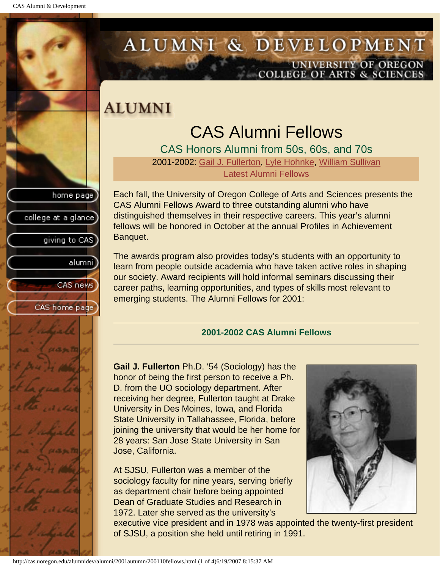college at a glance

giving to CAS

alumnil

CAS news

<span id="page-47-1"></span>CAS home page

# <span id="page-47-0"></span>ALUMNI & DEVELOPMENT UNIVERSITY OF OREGON<br>COLLEGE OF ARTS & SCIENCES

### **ALUMNI**

# CAS Alumni Fellows

CAS Honors Alumni from 50s, 60s, and 70s 2001-2002: [Gail J. Fullerton,](#page-47-1) [Lyle Hohnke](#page-48-0), [William Sullivan](#page-48-1) Latest Alumni Fellows

Each fall, the University of Oregon College of Arts and Sciences presents the CAS Alumni Fellows Award to three outstanding alumni who have distinguished themselves in their respective careers. This year's alumni fellows will be honored in October at the annual Profiles in Achievement Banquet.

The awards program also provides today's students with an opportunity to learn from people outside academia who have taken active roles in shaping our society. Award recipients will hold informal seminars discussing their career paths, learning opportunities, and types of skills most relevant to emerging students. The Alumni Fellows for 2001:

#### **2001-2002 CAS Alumni Fellows**

**Gail J. Fullerton** Ph.D. '54 (Sociology) has the honor of being the first person to receive a Ph. D. from the UO sociology department. After receiving her degree, Fullerton taught at Drake University in Des Moines, Iowa, and Florida State University in Tallahassee, Florida, before joining the university that would be her home for 28 years: San Jose State University in San Jose, California.

At SJSU, Fullerton was a member of the sociology faculty for nine years, serving briefly as department chair before being appointed Dean of Graduate Studies and Research in 1972. Later she served as the university's

executive vice president and in 1978 was appointed the twenty-first president of SJSU, a position she held until retiring in 1991.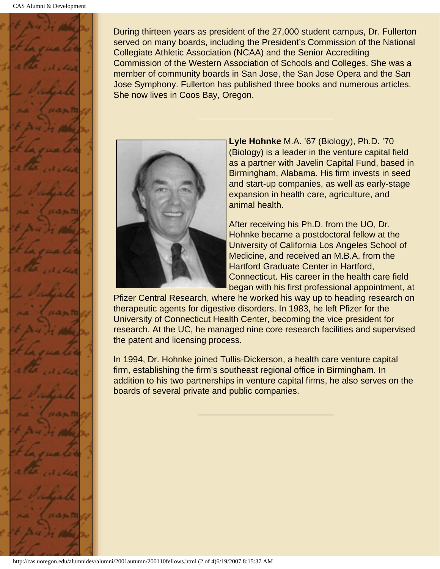

During thirteen years as president of the 27,000 student campus, Dr. Fullerton served on many boards, including the President's Commission of the National Collegiate Athletic Association (NCAA) and the Senior Accrediting Commission of the Western Association of Schools and Colleges. She was a member of community boards in San Jose, the San Jose Opera and the San Jose Symphony. Fullerton has published three books and numerous articles. She now lives in Coos Bay, Oregon.

<span id="page-48-0"></span>

**Lyle Hohnke** M.A. '67 (Biology), Ph.D. '70 (Biology) is a leader in the venture capital field as a partner with Javelin Capital Fund, based in Birmingham, Alabama. His firm invests in seed and start-up companies, as well as early-stage expansion in health care, agriculture, and animal health.

After receiving his Ph.D. from the UO, Dr. Hohnke became a postdoctoral fellow at the University of California Los Angeles School of Medicine, and received an M.B.A. from the Hartford Graduate Center in Hartford, Connecticut. His career in the health care field began with his first professional appointment, at

Pfizer Central Research, where he worked his way up to heading research on therapeutic agents for digestive disorders. In 1983, he left Pfizer for the University of Connecticut Health Center, becoming the vice president for research. At the UC, he managed nine core research facilities and supervised the patent and licensing process.

<span id="page-48-1"></span>In 1994, Dr. Hohnke joined Tullis-Dickerson, a health care venture capital firm, establishing the firm's southeast regional office in Birmingham. In addition to his two partnerships in venture capital firms, he also serves on the boards of several private and public companies.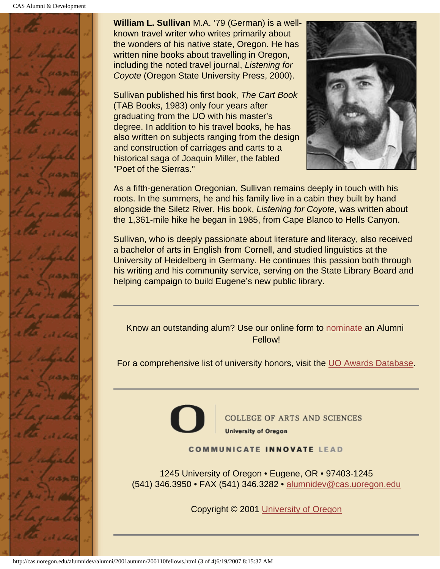CAS Alumni & Development



**William L. Sullivan** M.A. '79 (German) is a wellknown travel writer who writes primarily about the wonders of his native state, Oregon. He has written nine books about travelling in Oregon, including the noted travel journal, *Listening for Coyote* (Oregon State University Press, 2000).

Sullivan published his first book, *The Cart Book* (TAB Books, 1983) only four years after graduating from the UO with his master's degree. In addition to his travel books, he has also written on subjects ranging from the design and construction of carriages and carts to a historical saga of Joaquin Miller, the fabled "Poet of the Sierras."



As a fifth-generation Oregonian, Sullivan remains deeply in touch with his roots. In the summers, he and his family live in a cabin they built by hand alongside the Siletz River. His book, *Listening for Coyote,* was written about the 1,361-mile hike he began in 1985, from Cape Blanco to Hells Canyon.

Sullivan, who is deeply passionate about literature and literacy, also received a bachelor of arts in English from Cornell, and studied linguistics at the University of Heidelberg in Germany. He continues this passion both through his writing and his community service, serving on the State Library Board and helping campaign to build Eugene's new public library.

Know an outstanding alum? Use our online form to nominate an Alumni Fellow!

For a comprehensive list of university honors, visit the UO Awards Database.



**COLLEGE OF ARTS AND SCIENCES University of Oregon** 

**COMMUNICATE INNOVATE LEAD** 

1245 University of Oregon • Eugene, OR • 97403-1245 (541) 346.3950 • FAX (541) 346.3282 • alumnidev@cas.uoregon.edu

Copyright © 2001 University of Oregon